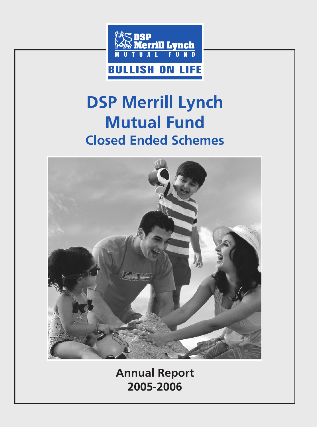

# **BULLISH ON LIFE**

# **DSP Merrill Lynch Mutual Fund Closed Ended Schemes**



**Annual Report** 2005-2006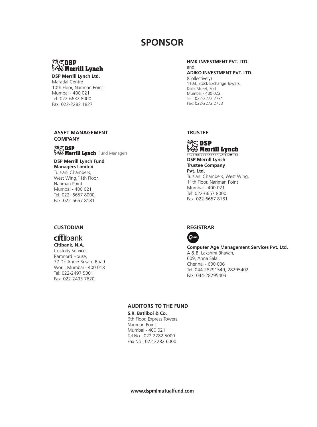# **SPONSOR**

# ⁄3SDSP<br>Merrill Lynch

**DSP Merrill Lynch Ltd.** Mafatlal Centre 10th Floor, Nariman Point Mumbai - 400 021 Tel: 022-6632 8000 Fax: 022-2282 1827

# **ASSET MANAGEMENT COMPANY**

 $\mathbb{R}$   $\leq$  DSP VAN Merrill Lynch Fund Managers

# **DSP Merrill Lynch Fund Managers Limited** Tulsiani Chambers,

West Wing,11th Floor, Nariman Point, Mumbai - 400 021 Tel: 022- 6657 8000 Fax: 022-6657 8181

# **CUSTODIAN**

# citibank **Citibank, N.A.**

Custody Services Ramnord House, 77 Dr. Annie Besant Road Worli, Mumbai - 400 018 Tel: 022-2497 5301 Fax: 022-2493 7620

# **HMK INVESTMENT PVT. LTD.**

# and **ADIKO INVESTMENT PVT. LTD.**

(Collectively) 1103, Stock Exchange Towers, Dalal Street, Fort, Mumbai - 400 023. Tel.: 022-2272 2731 Fax: 022-2272 2753

# **TRUSTEE**

# $\approx$  DSP  $\sum_{i=1}^{n}$  Merrill Lynch

TRUSTEE COMPANY PRIVATE LIMITED **DSP Merrill Lynch Trustee Company Pvt. Ltd.** Tulsiani Chambers, West Wing, 11th Floor, Nariman Point

Mumbai - 400 021 Tel: 022-6657 8000 Fax: 022-6657 8181

# **REGISTRAR**



**Computer Age Management Services Pvt. Ltd.** A & B, Lakshmi Bhavan, 609, Anna Salai, Chennai - 600 006 Tel: 044-28291549, 28295402 Fax: 044-28295403

# **AUDITORS TO THE FUND**

**S.R. Batliboi & Co.** 6th Floor, Express Towers Nariman Point Mumbai - 400 021 Tel No : 022 2282 5000 Fax No : 022 2282 6000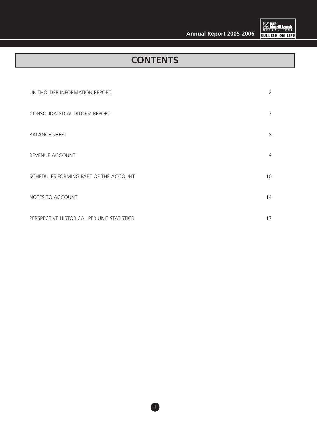



# **CONTENTS**

| UNITHOLDER INFORMATION REPORT              | 2               |
|--------------------------------------------|-----------------|
| CONSOLIDATED AUDITORS' REPORT              | 7               |
| <b>BALANCE SHEET</b>                       | 8               |
| REVENUE ACCOUNT                            | 9               |
| SCHEDULES FORMING PART OF THE ACCOUNT      | 10 <sup>°</sup> |
| NOTES TO ACCOUNT                           | 14              |
| PERSPECTIVE HISTORICAL PER UNIT STATISTICS | 17              |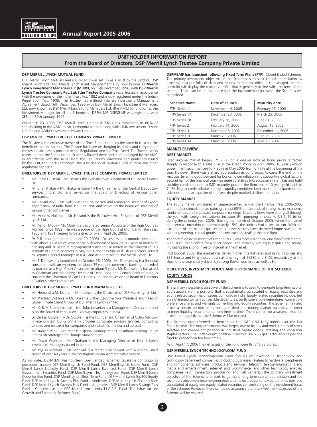

# **UNITHOLDER INFORMATION REPORT From the Board of Directors, DSP Merrill Lynch Trustee Company Private Limited**

# **DSP MERRILL LYNCH MUTUAL FUND**

DSP Merrill Lynch Mutual Fund (DSPMLMF) was set up as a Trust by the Settlors, DSP Merrill Lynch Ltd. and Merrill Lynch Asset Management L.P., now known as **Merrill Lynch Investment Managers L.P. (MLIM)**, on 16th December, 1996, with **DSP Merrill Lynch Trustee Company Pvt. Ltd. (the Trustee Company)** as a Trustee in accordance with the provisions of the Indian Trust Act, 1882 and is duly registered under the Indian Registration Act, 1908. The Trustee has entered into an Investment Management Agreement dated 16th December, 1996 with DSP Merrill Lynch Investment Managers Ltd. now known as DSP Merrill Lynch Fund Managers Ltd. (the AMC) to function as the Investment Manager for all the Schemes of DSPMLMF. DSPMLMF was registered with SEBI on 30th January, 1997.

On March 23, 2006, DSP Merrill Lynch Limited (DSPML) has transferred its 60% of shareholding in the AMC to Mr. Hemendra Kothari along with HMK Investment Private Limited and ADIKO Investment Private Limited.

#### **DSP MERRILL LYNCH TRUSTEE COMPANY PRIVATE LIMITED**

The Trustee is the exclusive owner of the Trust Fund and holds the same in trust for the benefit of the unitholders. The Trustee has been discharging its duties and carrying out the responsibilities as provided in the Regulations and the Trust Deed. The Trustee seeks to ensure that the Fund and the Schemes floated there under are managed by the AMC in accordance with the Trust Deed, the Regulations, directions and guidelines issued by the SEBI, the Stock Exchanges, the Association of Mutual Funds in India and other regulatory agencies.

#### **DIRECTORS OF DSP MERRILL LYNCH TRUSTEE COMPANY PRIVATE LIMITED**

- Mr. Shitin D. Desai Mr. Desai is the Executive Vice-Chairman of DSP Merrill Lynch Ltd.
- Mr. S. S. Thakur Mr. Thakur is currently the Chairman of the Central Depository Services (India) Ltd. and serves on the Board of Directors of various other companies.
- Ms. Tarjani Vakil Ms. Vakil was the Chairperson and Managing Director of Export Import Bank of India from 1993 to 1996 and serves on the Board of Directors of various other companies.
- Mr. Andrew Holland Mr. Holland is the Executive Vice President of DSP Merrill Lynch Ltd.
- Mr. Ashok Mody Mr. Mody is a designated Senior Advocate of the High Court at Mumbai since 1982. He was a Judge of the High Court at Mumbai for the years 1980 and 1981 (ceased to be a director w.e.f. April 26, 2005).
- Dr. P. R. Joshi (appointed on June 20, 2005) Dr. Joshi is an economic consultant, with about 17 years of experience in development banking, 12 years in merchant banking and 30 years in management teaching. He retired as the Director of UTI Institute of Capital Markets in May 2001 and through his illustrious career, served as Deputy General Manager at ICICI and as a Director at DSP Merrill Lynch Ltd.
- Mr. S. Doreswamy (appointed on October 25, 2005) Mr. Doreswamy is a financial consultant, with an experience of about 35 years in commercial banking, preceded by practice as a High Court Advocate for about 3 years. Mr. Doreswamy has acted as Chairman and Managing Director of Dena Bank and Central Bank of India, is currently the Chairman of Can Fin Homes Ltd. and serves on the Board of Directors of various other companies.

#### **DIRECTORS OF DSP MERRILL LYNCH FUND MANAGERS LTD.**

- Mr. Hemendra M. Kothari Mr. Kothari is the Chairman of DSP Merrill Lynch Ltd. • Mr. Pradeep Dokania – Mr. Dokania is the Executive Vice President and head of
- Global Private Client Group of DSP Merrill Lynch Limited.
- Mr. K. R. V. Subrahmanian Mr. Subrahmanian is a Management Consultant and is on the Board of various well-known corporates in India.
- Dr. Omkar Goswami Dr. Goswami is the Founder and Chairman of CERG Advisory Private Limited. CERG primarily provides corporate advisory services, consulting services and research for companies and industries in India and abroad.
- Mr. Ranjan Pant Mr. Pant is a global Management Consultant advising CEOs/ Boards on Strategy and Change Management.
- Mr. David Graham Mr. Graham is the Managing Director of Merrill Lynch Investment Managers based in London.
- Mr. Piyush Mankad Mr. Mankad is a retired civil servant with a distinguished career of over 40 years in the prestigious Indian Administrative Service.

As on date, DSPMLMF has fourteen open ended schemes (available for ongoing purchases) namely DSP Merrill Lynch Bond Fund, DSP Merrill Lynch Equity Fund, DSP Merrill Lynch Liquidity Fund, DSP Merrill Lynch Balanced Fund, DSP Merrill Lynch Government Securities Fund, DSP Merrill Lynch Technology.com Fund, DSP Merrill Lynch Opportunities Fund, DSP Merrill Lynch Short Term Fund, DSP Merrill Lynch Top100 Equity Fund, DSP Merrill Lynch Savings Plus Fund - Moderate, DSP Merrill Lynch Floating Rate Fund, DSP Merrill Lynch Savings Plus Fund – Aggressive, DSP Merrill Lynch Savings Plus Fund – Conservative and DSP Merrill Lynch India T.I.G.E.R. Fund (The Infrastructure Growth and Economic Reforms Fund).

**DSPMLMF has launched following Fixed Term Plans (FTP):** Closed Ended Schemes. The primary investment objective of the Schemes is to seek capital appreciation by investing in a portfolio of debt and money market securities. It is envisaged that the portfolio will display the maturity profile that is generally in line with the term of the scheme. There can be no assurance that the investment objective of the Schemes will be realised.

| <b>Schemes Name</b> | Date of Launch    | <b>Maturity date</b> |
|---------------------|-------------------|----------------------|
| FTP- Series 1       | November 14, 2005 | February 16, 2006    |
| FTP- Series 1A      | December 20, 2005 | March 23, 2006       |
| FTP- Series 1B      | February 28, 2006 | June 01, 2006        |
| FTP- Series 2       | February 14, 2006 | August 16, 2006      |
| FTP- Series 3       | December 6, 2005  | December 11, 2006    |
| FTP- Series 1C      | March 21, 2006    | June 29, 2006        |
| FTP- Series 3A      | March 21, 2006    | April 16, 2007       |

### **MARKET PREVIEW**

# **DEBT MARKET**

Fixed income market began F.Y. 2005 on a weaker note as bond prices corrected sharply in response to a rate hike in the Credit Policy in April 2005. 10 year yield on government securities rose to 7.30% in May 2005 from 6.75% at the beginning of the year. However, there was a sharp appreciation in bond prices towards the end of the First quarter amid good demand for bonds, lower inflation and supportive global factors. Second half of the financial year was quite volatile as two successive rate hikes and tight liquidity conditions due to IMD maturity pushed the Benchmark 10 year yield back to 7.4%. Higher credit offtake and tight liquidity conditions kept market participants on the sidelines in the last quarter of the year despite marked decline in inflation.

# **EQUITY MARKET**

The equity market witnessed an unprecedented rally in the Financial Year 2005-2006 with the benchmark indices gaining almost 60% on the back of strong macro economic fundamentals and impressive corporate earnings. Liquidity flows were strong all through the year with foreign institutional investors (FII) pumping in close to US \$ 10 billion during the calendar year 2005. Barring the month of October 2005, when the market had seen a correction of approximately 15%, the indices had a secular run. With the exception of the oil and gas sector, all other sectors have delivered impressive returns with engineering, capital goods and construction stealing the lime light.

The correction in the month of October 2005 was more a technical one than fundamental, with FII's turning sellers for a short period. The recovery was equally quick and sound, indicating the strong investor interest in the market.

Post Budget 2006, the market has defied higher interest rates and rising oil prices and BSE Sensex and Nifty closed at an all time high of 11280 and 3402 respectively at the close of the year clearly driven by strong flows, domestic as well as FII.

# **OBJECTIVES, INVESTMENT POLICY AND PERFORMANCE OF THE SCHEMES EQUITY FUNDS**

# **DSP MERRILL LYNCH EQUITY FUND**

The primary investment objective of the Scheme is to seek to generate long term capital appreciation, from a portfolio that is substantially constituted of equity securities and equity related securities of issuers domiciled in India. Equity related securities include, but are not limited to, fully convertible debentures, partly convertible debentures, convertible preference shares and warrants converting into equity securities. The Scheme may also invest a certain portion of its corpus in debt and money market securities, in order to meet liquidity requirements from time to time. There can be no assurance that the investment objective of the Scheme will be realized.

The Scheme outperformed its benchmark (the S&P CNX Nifty Index) over the last financial year. The outperformance was largely due to its buy and hold strategy of stock selected and overweight position in industrial capital goods, retailing and consumer staples sectors. The underweight position in sectors like oil & gas sector also helped the fund to outperform the benchmark.

As of April 17, 2006 the net assets of the Fund were Rs. 546.73 crores.

#### **DSP MERRILL LYNCH TECHNOLOGY.COM FUND**

DSP Merrill Lynch Technology.com Fund focuses on investing in technology and technology dependent companies, including businesses relating to hardware, peripherals and components, software (products and services), telecom, telecommunications and media and entertainment, internet and E-commerce, and other technology enabled companies (e.g. transaction processing and call centers). The primary investment objective of the Scheme is to seek to generate long term capital appreciation and the secondary objective is income generation and the distribution of dividend from a portfolio constituted of equity and equity related securities concentrating on the investment focus of the Scheme. However, there can be no assurance that the investment objective of the Scheme will be realized.

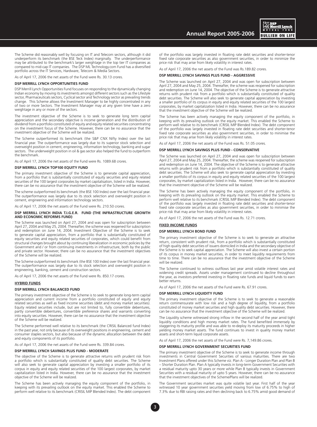

The Scheme did reasonably well by focusing on IT and Telecom sectors, although it did underperform its benchmark (the BSE Teck Index) marginally. The underperformance may be attributed to the benchmark's larger weightage in the top tier IT companies as compared to mid-cap IT companies. The DSP ML Technology.com Fund has a diversified portfolio across the IT Services, Hardware, Telecom & Media Sectors.

As of April 17, 2006 the net assets of the Fund were Rs. 30.13 crores.

#### **DSP MERRILL LYNCH OPPORTUNITIES FUND**

DSP Merrill Lynch Opportunities Fund focuses on responding to the dynamically changing Indian economy by moving its investments amongst different sectors such as the Lifestyle sector, Pharmaceuticals sectors, Cyclical sector and Technology sector as prevailing trends change. This Scheme allows the Investment Manager to be highly concentrated in any of two or more Sectors. The Investment Manager may at any given time have a zero weightage in any or more of the sectors.

The investment objective of the Scheme is to seek to generate long term capital appreciation and the secondary objective is income generation and the distribution of dividend from a portfolio constituted of equity and equity related securities concentrating on the investment focus of the Scheme. However, there can be no assurance that the investment objective of the Scheme will be realized.

The Scheme outperformed its benchmark (the S&P CNX Nifty Index) over the last financial year. The outperformance was largely due to its superior stock selection and overweight position in cement, engineering, information technology, banking and sugar sectors. The underweight position in oil & gas sector also helped the fund to outperform the benchmark.

As of April 17, 2006 the net assets of the Fund were Rs. 1089.68 crores.

#### **DSP MERRILL LYNCH TOP100 EQUITY FUND**

The primary investment objective of the Scheme is to generate capital appreciation, from a portfolio that is substantially constituted of equity securities and equity related securities of the 100 largest corporates by market capitalisation, listed in India. However, there can be no assurance that the investment objective of the Scheme will be realized.

The scheme outperformed its benchmark (the BSE 100 Index) over the last financial year. The outperformance was largely due to its stock selection and overweight position in cement, engineering and information technology sectors.

As of April 17, 2006 the net assets of the Fund were Rs. 210.50 crores.

# **DSP MERRILL LYNCH INDIA T.I.G.E.R. FUND (THE INFRASTRUCTURE GROWTH AND ECONOMIC REFORMS FUND)**

The Scheme was launched on April 27, 2004 and was open for subscription between April 27, 2004 and May 25, 2004. Thereafter, the scheme was reopened for subscription and redemption on June 14, 2004. Investment Objective of the Scheme is to seek to generate capital appreciation, from a portfolio that is substantially constituted of equity securities and equity related securities of corporates, which could benefit from structural changes brought about by continuing liberalization in economic policies by the Government and / or from continuing investments in infrastructure, both by the public and private sector. However, there can be no assurance that the investment objectives of the Scheme will be realized.

The Scheme outperformed its benchmark (the BSE 100 Index) over the last financial year. The outperformance was largely due to its stock selection and overweight position in engineering, banking, cement and construction sectors.

As of April 17, 2006 the net assets of the Fund were Rs. 850.17 crores.

#### **HYBRID FUNDS**

#### **DSP MERRILL LYNCH BALANCED FUND**

The primary investment objective of the Scheme is to seek to generate long-term capital appreciation and current income from a portfolio constituted of equity and equity related securities as well as fixed income securities (debt and money market securities). Equity related securities include, but are not limited to, fully convertible debentures, partly convertible debentures, convertible preference shares and warrants converting into equity securities. However, there can be no assurance that the investment objective of the Scheme will be realized.

The Scheme performed well relative to its benchmark (the CRISIL Balanced fund Index) in the past year, not only because of its overweight positions in engineering, cement and consumer staples sectors, but also because of the dynamic allocation between the debt and equity components of its portfolio.

As of April 17, 2006 the net assets of the Fund were Rs. 339.84 crores.

# **DSP MERRILL LYNCH SAVINGS PLUS FUND - MODERATE**

The objective of the Scheme is to generate attractive returns with prudent risk from a portfolio which is substantially constituted of quality debt securities. The Scheme will also seek to generate capital appreciation by investing a smaller portfolio of its corpus in equity and equity related securities of the 100 largest corporates, by market capitalization listed in India. However, there can be no assurance that the investment objective of the Scheme will be realized.

The Scheme has been actively managing the equity component of the portfolio, in keeping with its prevailing outlook on the equity market. This enabled the Scheme to perform well relative to its benchmark (CRISIL MIP Blended Index). The debt component of the portfolio was largely invested in floating rate debt securities and shorter-tenor fixed rate corporate securities as also government securities, in order to minimize the price risk that may arise from likely volatility in interest rates.

As of April 17, 2006 the net assets of the Fund was Rs.189.82 crores.

#### **DSP MERRILL LYNCH SAVINGS PLUS FUND - AGGRESSIVE**

The Scheme was launched on April 27, 2004 and was open for subscription between April 27, 2004 and May 25, 2004. Thereafter, the scheme was reopened for subscription and redemption on June 14, 2004. The objective of the Scheme is to generate attractive returns with prudent risk from a portfolio which is substantially constituted of quality debt securities. The Scheme will also seek to generate capital appreciation by investing a smaller portfolio of its corpus in equity and equity related securities of the 100 largest corporates, by market capitalization listed in India. However, there can be no assurance that the investment objective of the Scheme will be realized.

The Scheme has been actively managing the equity component of the portfolio, in keeping with its prevailing outlook on the equity market. This enabled the Scheme to perform well relative to its benchmark (CRISIL MIP Blended Index). The debt component of the portfolio was largely invested in floating rate debt securities and shorter-tenor fixed rate corporate securities as also government securities, in order to minimise the price risk that may arise from likely volatility in interest rates.

As of April 17, 2006 the net assets of the Fund was Rs. 51.05 crores.

#### **DSP MERRILL LYNCH SAVINGS PLUS FUND - CONSERVATIVE**

The Scheme was launched on April 27, 2004 and was open for subscription between April 27, 2004 and May 25, 2004. Thereafter, the scheme was reopened for subscription and redemption on June 14, 2004. The objective of the Scheme is to generate attractive returns with prudent risk from a portfolio which is substantially constituted of quality debt securities. The Scheme will also seek to generate capital appreciation by investing a smaller portfolio of its corpus in equity and equity related securities of the 100 largest corporates, by market capitalization listed in India. However, there can be no assurance that the investment objective of the Scheme will be realized.

The Scheme has been actively managing the equity component of the portfolio, in keeping with its prevailing outlook on the equity market. This enabled the Scheme to perform well relative to its benchmark (CRISIL MIP Blended Index). The debt component of the portfolio was largely invested in floating rate debt securities and shorter-tenor fixed rate corporate securities as also government securities, in order to minimise the price risk that may arise from likely volatility in interest rates.

As of April 17, 2006 the net assets of the Fund was Rs. 12.71 crores.

# **FIXED INCOME FUNDS**

# **DSP MERRILL LYNCH BOND FUND**

The primary investment objective of the Scheme is to seek to generate an attractive return, consistent with prudent risk, from a portfolio which is substantially constituted of high quality debt securities of issuers domiciled in India and the secondary objective of the Scheme is to seek capital appreciation. The Scheme will also invest a certain portion of its corpus in money market securities, in order to meet liquidity requirements from time to time. There can be no assurance that the investment objective of the Scheme will be realized.

The Scheme continued to witness outflows last year amid volatile interest rates and widening credit spreads. Assets under management continued to decline throughout the year, as investors preferred investing in floating rate funds and liquid funds to earn better returns.

As of April 17, 2006 the net assets of the Fund were Rs. 67.91 crores.

# **DSP MERRILL LYNCH LIQUIDITY FUND**

The primary investment objective of the Scheme is to seek to generate a reasonable return commensurate with low risk and a high degree of liquidity, from a portfolio constituted of money market securities and high quality debt securities. However, there can be no assurance that the investment objective of the Scheme will be realized.

The Liquidity scheme witnessed strong inflow in the second half of the year amid tight liquidity conditions and high money market rates. The fund benefited immensely by staggering its maturity profile and was able to re-deploy its maturity proceeds in higher yielding money market assets. The fund continues to invest in quality money market assets and short-term liquid corporate assets.

As of April 17, 2006 the net assets of the Fund were Rs. 7,149.86 crores.

#### **DSP MERRILL LYNCH GOVERNMENT SECURITIES FUND**

The primary investment objective of the Scheme is to seek to generate income through investments in Central Government Securities of various maturities. There are two Investment Plans offered under this Scheme viz. Plan A - Longer Duration Plan and Plan B – Shorter Duration Plan. Plan A typically invests in long-term Government Securities with a residual maturity upto 30 years or more while Plan B typically invests in Government Securities with a residual maturity of upto 5 years. However, there can be no assurance that the investment objectives of the Scheme/Plans will be realized.

The Government securities market was quite volatile last year. First half of the year witnessed 10 year government securities yield moving from low of 6.75% to high of 7.3% due to RBI raising rates and then declining back to 6.75% amid good demand of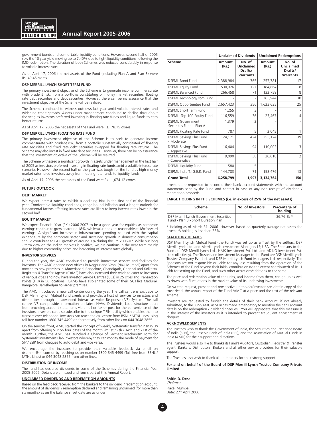

government bonds and comfortable liquidity conditions. However, second half of 2005 saw the 10 year yield moving up to 7.40% due to tight liquidity conditions following the IMD redemption. The duration of both Schemes was reduced considerably in response to volatile interest rates.

As of April 17, 2006 the net assets of the Fund (including Plan A and Plan B) were Rs. 49.45 crores.

# **DSP MERRILL LYNCH SHORT TERM FUND**

The primary investment objective of the Scheme is to generate income commensurate with prudent risk, from a portfolio constituting of money market securities, floating<br>rate debt securities and debt securities. However, there can be no assurance that the investment objective of the Scheme will be realized.

The Scheme continued to witness outflows last year amid volatile interest rates and widening credit spreads. Assets under management continued to decline throughout the year, as investors preferred investing in floating rate funds and liquid funds to earn better returns.

As of April 17, 2006 the net assets of the Fund were Rs. 78.15 crores.

#### **DSP MERRILL LYNCH FLOATING RATE FUND**

The primary investment objective of the Scheme is to seek to generate income commensurate with prudent risk, from a portfolio substantially constituted of floating rate securities and fixed rate debt securities swapped for floating rate returns. The Scheme may also invest in fixed rate debt securities. However, there can be no assurance that the investment objective of the Scheme will be realized.

The Scheme witnessed a significant growth in assets under management in the first half of 2005 as investors preferred investing in floating rate funds amid a volatile interest rate scenario. However, the second half of the year was tough for the fund as high money market rates lured investors away from floating rate funds to liquidity funds.

As of April 17, 2006 the net assets of the Fund were Rs. 1,074,12 crores.

# **FUTURE OUTLOOK**

# **DEBT MARKET**

We expect interest rates to exhibit a declining bias in the first half of the financial year. Comfortable liquidity conditions, range-bound inflation and a bright outlook for fundamental factors affecting interest rates are likely to keep interest rates lower in the second half.

#### **EQUITY MARKET**

We expect Financial Year (F.Y.) 2006-2007 to be a good year for equities as corporate earnings continue to grow at around 18%, while valuations are reasonable at 18x forward earnings. A significant increase in infrastructure spending coupled with the capital expenditure by the corporate sector and sustained growth in domestic consumption should contribute to GDP growth of around 7% during the F.Y. 2006-07. While our long - term view on the Indian markets is positive, we are cautious in the near term mainly due to higher commodity prices and hardening of interest rates globally.

# **INVESTOR SERVICES**

During the year, the AMC continued to provide innovative services and facilities for investors. The AMC opened new offices in Nagpur and Vashi (Navi Mumbai) apart from moving to new premises in Ahmedabad, Bangalore, Chandigarh, Chennai and Kolkatta. Registrars & Transfer Agents (CAMS) have also increased their reach to cater to investors of various cities and now have Investor Service Centres (ISCs) in 25 cities and Transaction Points (TPs) in 50 locations. CAMS have also shifted some of their ISCs like Madurai, Bangalore, Jamshedpur to larger premises.

The AMC introduced a new call centre during the year. The call centre is exclusive to DSP Merrill Lynch Mutual Fund clients and provides a host of services to investors and distributors through an advanced Interactive Voice Response (IVR) System. The call centre IVR can provide information on latest NAVs, Dividends, Load structure apart from providing account statements via email or fax or post for the convenience of the investors. Investors can also subscribe to the unique T-PIN facility which enables them to transact over telephone. Investors can reach the call centre from BSNL / MTNL lines using toll free number 1800 345 4499 or alternatively from other lines on 044 3048 2855.

On the services front, AMC started the concept of weekly Systematic Transfer Plan (STP) apart from offering STP on four dates of the month viz 1st / 7th / 14th and 21st of the month. Further, the AMC has launched a Change of Payment Mechanism Form for Systematic Investment Plan investors whereby they can modify the mode of payment for SIP / SSIP from cheques to auto debit and vice versa.

We encourage the investors to provide their valuable feedback via email on dspmlmf@ml.com or by reaching us on number 1800 345 4499 (Toll free from BSNL / MTNL Lines) or 044 3048 2855 from other lines.

# **DISTRIBUTION OF INCOME**

The fund has declared dividends in some of the Schemes during the Financial Year 2005-2006. Details are annexed and forms part of this Annual Report.

#### **UNCLAIMED DIVIDENDS AND REDEMPTION AMOUNTS**

Based on the feed back received from the bankers to the dividend / redemption account, the amount of dividends / redemption declared and remaining unclaimed (for more than six months) as on the balance sheet date are as under:

|                                                     |                 | <b>Unclaimed Dividends</b>                               |                 | <b>Unclaimed Redemptions</b>                             |
|-----------------------------------------------------|-----------------|----------------------------------------------------------|-----------------|----------------------------------------------------------|
| Scheme                                              | Amount<br>(Rs.) | No. of<br><b>Unclaimed</b><br>Drafts/<br><b>Warrants</b> | Amount<br>(Rs.) | No. of<br><b>Unclaimed</b><br>Drafts/<br><b>Warrants</b> |
| <b>DSPML Bond Fund</b>                              | 2,388,984       | 765                                                      | 257,781         | 17                                                       |
| <b>DSPML Equity Fund</b>                            | 530,926         | 127                                                      | 184,864         | 8                                                        |
| <b>DSPML Balanced Fund</b>                          | 266,458         | 71                                                       | 132,758         | 8                                                        |
| DSPML Technology.com Fund                           |                 |                                                          | 265,944         | 30                                                       |
| <b>DSPML Opportunities Fund</b>                     | 2,657,423       | 356                                                      | 1,623,635       | 25                                                       |
| <b>DSPML Short Term Fund</b>                        | 1,255           | 3                                                        |                 |                                                          |
| DSPML Top 100 Equity Fund                           | 116,559         | 36                                                       | 23,467          | 4                                                        |
| <b>DSPML Government</b><br>Securities Fund - Plan A | 1,379           | $\overline{2}$                                           |                 |                                                          |
| DSPML Floating Rate Fund                            | 787             | 5                                                        | 2,045           | 1                                                        |
| <b>DSPML Savings Plus Fund</b><br>- Moderate        | 124,171         | 424                                                      | 355,174         | 39                                                       |
| <b>DSPML Savings Plus Fund</b><br>- Aggressive      | 16,404          | 94                                                       | 110,002         | 3                                                        |
| <b>DSPML Savings Plus Fund</b><br>- Conservative    | 9,090           | 38                                                       | 20,618          | $\overline{2}$                                           |
| <b>DSPML Liquidity Fund</b>                         | 580             | 5                                                        |                 |                                                          |
| DSPML India T.I.G.E.R. Fund                         | 144,783         | 71                                                       | 158,476         | 13                                                       |
| <b>Grand Total</b>                                  | 6,258,799       | 1,997                                                    | 3,134,764       | 150                                                      |

Investors are requested to reconcile their bank account statements with the account statements sent by the Fund and contact in case of any non receipt of dividend / redemption proceeds.

# **LARGE HOLDING IN THE SCHEMES (i.e. in excess of 25% of the net assets)**

| Scheme                                                                           | No. of Investors | Percentage of<br>holding |
|----------------------------------------------------------------------------------|------------------|--------------------------|
| DSP Merrill Lynch Government Securities<br>l Fund - Plan B - Short Duration Plan |                  | 36.76%                   |

\* Holding as of March 31, 2006. However, based on quarterly average net assets the investor's holding is less than 25%.

# **STATUTORY DETAILS**

DSP Merrill Lynch Mutual Fund (the Fund) was set up as a Trust by the settlors, DSP Merrill Lynch Ltd. and Merrill Lynch Investment Managers LP, USA. The Sponsors to the Fund are DSP Merrill Lynch Ltd., HMK Investment Pvt. Ltd. and ADIKO Investment Pvt. Ltd (collectively). The Trustee and Investment Manager to the Fund are DSP Merrill Lynch Trustee Company Pvt. Ltd. and DSP Merrill Lynch Fund Managers Ltd. respectively. The Sponsors are not responsible or liable for any loss resulting from the operation of the Schemes of the Fund beyond their initial contribution (to the extent contributed) of Rs. 1 lakh for setting up the Fund, and such other accretions/additions to the same

The price and redemption value of the units, and income from them, can go up as well as down with fluctuations in the market value of its underlying investments.

On written request, present and prospective unitholder/investor can obtain copy of the trust deed, the annual report of the Fund /AMC at a price and the text of the relevant scheme.

Investors are requested to furnish the details of their bank account, if not already submitted, to the Fund/AMC as SEBI has made it mandatory to mention the bank account details on the redemption / dividend cheques. You will appreciate that this measure is in the interest of the investors as it is intended to prevent fraudulent encashment of cheques.

# **ACKNOWLEDGEMENTS**

The Trustees wish to thank the Government of India, the Securities and Exchange Board of India (SEBI), the Reserve Bank of India (RBI), and the Association of Mutual Funds in India (AMFI) for their support and directions.

The Trustees would also like to thanks its Fund's Auditors, Custodian, Registrar & Transfer agent, Bankers, Distributors, Brokers and all other service providers for their valuable support.

The Trustees also wish to thank all unitholders for their strong support.

**For and on behalf of the Board of DSP Merrill Lynch Trustee Company Private Limited**

#### **Shitin D. Desai**

*Chairman* Place: Mumbai Date: 27<sup>th</sup> April 2006

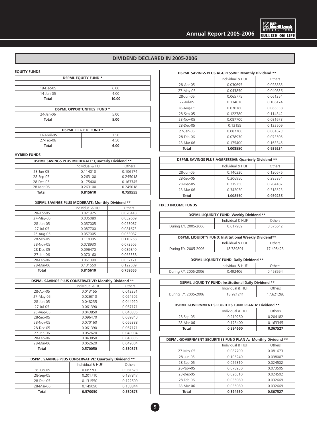

# **DIVIDEND DECLARED IN 2005-2006**

# **EQUITY FUNDS**

| <b>DSPML EQUITY FUND *</b> |       |  |
|----------------------------|-------|--|
|                            |       |  |
| 19-Dec-05                  | 6.00  |  |
| 14-Jun-05                  | 4.00  |  |
| Total                      | 10.00 |  |

| <b>DSPML OPPORTUNITIES FUND *</b> |      |  |
|-----------------------------------|------|--|
| 24-Jan-06                         | 5.00 |  |
| Total                             | 5.00 |  |

| DSPML T.I.G.E.R. FUND * |      |  |
|-------------------------|------|--|
| 11-April-05             | 1.50 |  |
| 27-Feb-06               | 4.50 |  |
| Total                   | 6.00 |  |

# **HYBRID FUNDS**

| DSPML SAVINGS PLUS MODERATE: Quarterly Dividend ** |                  |          |
|----------------------------------------------------|------------------|----------|
|                                                    | Individual & HUF | Others   |
| 28-Jun-05                                          | 0.114010         | 0.106174 |
| 28-Sep-05                                          | 0.263100         | 0.245018 |
| 28-Dec-05                                          | 0.175400         | 0.163345 |
| 28-Mar-06                                          | 0.263100         | 0.245018 |
| Total                                              | 0.815610         | 0.759555 |

| DSPML SAVINGS PLUS MODERATE: Monthly Dividend ** |                  |          |
|--------------------------------------------------|------------------|----------|
|                                                  | Individual & HUF | Others   |
| 28-Apr-05                                        | 0.021925         | 0.020418 |
| 27-May-05                                        | 0.035080         | 0.032669 |
| 28-Jun-05                                        | 0.057005         | 0.053087 |
| $27 - 11 - 05$                                   | 0.087700         | 0.081673 |
| 26-Aug-05                                        | 0.057005         | 0.053087 |
| 28-Sep-05                                        | 0.118395         | 0.110258 |
| 28-Nov-05                                        | 0.078930         | 0.073505 |
| 28-Dec-05                                        | 0.096470         | 0.089840 |
| 27-Jan-06                                        | 0.070160         | 0.065338 |
| 28-Feb-06                                        | 0.061390         | 0.057171 |
| 28-Mar-06                                        | 0.131550         | 0.122509 |
| Total                                            | 0.815610         | 0.759555 |

| DSPML SAVINGS PLUS CONSERVATIVE: Monthly Dividend ** |                  |          |
|------------------------------------------------------|------------------|----------|
|                                                      | Individual & HUF | Others   |
| 28-Apr-05                                            | 0.013155         | 0.012251 |
| 27-May-05                                            | 0.026310         | 0.024502 |
| 28-Jun-05                                            | 0.048235         | 0.044920 |
| 27-Jul-05                                            | 0.061390         | 0.057171 |
| 26-Aug-05                                            | 0.043850         | 0.040836 |
| 28-Sep-05                                            | 0.096470         | 0.089840 |
| 28-Nov-05                                            | 0.070160         | 0.065338 |
| 28-Dec-05                                            | 0.061390         | 0.057171 |
| 27-Jan-06                                            | 0.052620         | 0.049004 |
| 28-Feb-06                                            | 0.043850         | 0.040836 |
| 28-Mar-06                                            | 0.052620         | 0.049004 |
| Total                                                | 0.570050         | 0.530873 |

| DSPML SAVINGS PLUS CONSERVATIVE: Quarterly Dividend ** |                  |          |  |
|--------------------------------------------------------|------------------|----------|--|
|                                                        | Individual & HUF | Others   |  |
| 28-Jun-05                                              | 0.087700         | 0.081673 |  |
| 28-Sep-05                                              | 0.201710         | 0.187847 |  |
| 28-Dec-05                                              | 0.131550         | 0.122509 |  |
| 28-Mar-06                                              | 0.149090         | 0.138844 |  |
| Total                                                  | 0.570050         | 0.530873 |  |

| DSPML SAVINGS PLUS AGGRESSIVE: Monthly Dividend ** |                  |          |
|----------------------------------------------------|------------------|----------|
|                                                    | Individual & HUF | Others   |
| 28-Apr-05                                          | 0.030695         | 0.028585 |
| 27-May-05                                          | 0.043850         | 0.040836 |
| 28-Jun-05                                          | 0.065775         | 0.061254 |
| 27-Jul-05                                          | 0.114010         | 0.106174 |
| 26-Aug-05                                          | 0.070160         | 0.065338 |
| 28-Sep-05                                          | 0.122780         | 0.114342 |
| 28-Nov-05                                          | 0.087700         | 0.081673 |
| 28-Dec-05                                          | 0.13155          | 0.122509 |
| 27-Jan-06                                          | 0.087700         | 0.081673 |
| 28-Feb-06                                          | 0.078930         | 0.073505 |
| 28-Mar-06                                          | 0.175400         | 0.163345 |
| Total                                              | 1.008550         | 0.939234 |

| DSPML SAVINGS PLUS AGGRESSIVE: Quarterly Dividend ** |                  |          |
|------------------------------------------------------|------------------|----------|
|                                                      | Individual & HUF | Others   |
| 28-Jun-05                                            | 0.140320         | 0.130676 |
| 28-Sep-05                                            | 0.306950         | 0.285854 |
| 28-Dec-05                                            | 0.219250         | 0.204182 |
| 28-Mar-06                                            | 0.342030         | 0.318523 |
| Total                                                | 1.008550         | 0.939235 |

# **FIXED INCOME FUNDS**

| DSPML LIQUIDITY FUND: Weekly Dividend ** |                  |          |
|------------------------------------------|------------------|----------|
|                                          | Individual & HUF | Others   |
| During F.Y. 2005-2006                    | 0.617989         | 0.575512 |

| DSPML LIQUIDITY FUND: Institutional Weekly Dividend** |                  |          |
|-------------------------------------------------------|------------------|----------|
|                                                       | Individual & HUF | Others   |
| During F.Y. 2005-2006                                 | 18.789801        | 17498423 |

| DSPML LIQUIDITY FUND: Daily Dividend ** |                  |         |
|-----------------------------------------|------------------|---------|
|                                         | Individual & HUF | Others  |
| During F.Y. 2005-2006                   | 0.492406         | 0458554 |

| DSPML LIQUIDITY FUND: Institutional Daily Dividend ** |                  |           |
|-------------------------------------------------------|------------------|-----------|
|                                                       | Individual & HUF | Others    |
| During F.Y. 2005-2006                                 | 18 921241        | 17 621286 |

| DSPML GOVERNMENT SECURITIES FUND PLAN A: Dividend ** |                  |          |
|------------------------------------------------------|------------------|----------|
|                                                      | Individual & HUF | Others   |
| 28-Sep-05                                            | 0.219250         | 0.204182 |
| 28-Mar-06                                            | 0.175400         | 0.163345 |
| Total                                                | 0.394650         | 0.367527 |

| DSPML GOVERNMENT SECURITIES FUND PLAN A: Monthly Dividend ** |                  |          |
|--------------------------------------------------------------|------------------|----------|
|                                                              | Individual & HUF | Others   |
| 27-May-05                                                    | 0.087700         | 0.081673 |
| 28-Jun-05                                                    | 0.105240         | 0.098007 |
| 28-Sep-05                                                    | 0.026310         | 0.024502 |
| 28-Nov-05                                                    | 0.078930         | 0.073505 |
| 28-Dec-05                                                    | 0.026310         | 0.024502 |
| 28-Feb-06                                                    | 0.035080         | 0.032669 |
| 28-Mar-06                                                    | 0.035080         | 0.032669 |
| Total                                                        | 0.394650         | 0.367527 |

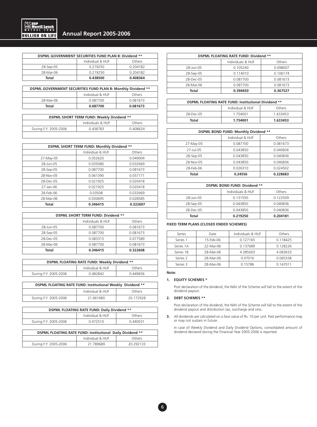

| DSPML GOVERNMENT SECURITIES FUND PLAN B: Dividend ** |                  |          |
|------------------------------------------------------|------------------|----------|
|                                                      | Individual & HUF | Others   |
| 28-Sep-05                                            | 0.219250         | 0.204182 |
| 28-Mar-06                                            | 0.219250         | 0.204182 |
| Total                                                | 0.438500         | 0.408364 |

| DSPML GOVERNMENT SECURITIES FUND PLAN B: Monthly Dividend ** |                  |          |
|--------------------------------------------------------------|------------------|----------|
|                                                              | Individual & HUF | Others   |
| 28-Mar-06                                                    | 0.087700         | 0.081673 |
| Total                                                        | 0.087700         | 0.081673 |

| DSPML SHORT TERM FUND: Weekly Dividend ** |                   |         |
|-------------------------------------------|-------------------|---------|
|                                           | Individuals & HUF | Others  |
| During F.Y. 2005-2006                     | 0.438783          | 0408624 |
|                                           |                   |         |

| DSPML SHORT TERM FUND: Monthly Dividend ** |                  |          |
|--------------------------------------------|------------------|----------|
|                                            | Individual & HUF | Others   |
| 27-May-05                                  | 0.052620         | 0.049004 |
| 28-Jun-05                                  | 0.035080         | 0.032669 |
| 28-Sep-05                                  | 0.087700         | 0.081673 |
| 28-Nov-05                                  | 0.061390         | 0.057171 |
| 28-Dec-05                                  | 0.021925         | 0.020418 |
| 27-Jan-06                                  | 0.021925         | 0.020418 |
| 28-Feb-06                                  | 0.03508          | 0.032669 |
| 28-Mar-06                                  | 0.030695         | 0.028585 |
| <b>Total</b>                               | 0.346415         | 0.322607 |

| DSPML SHORT TERM FUND: Dividend ** |                   |          |
|------------------------------------|-------------------|----------|
|                                    | Individuals & HUF | Others   |
| 28-Jun-05                          | 0.087700          | 0.081673 |
| 28-Sep-05                          | 0.087700          | 0.081673 |
| 28-Dec-05                          | 0.083315          | 0.077589 |
| 28-Mar-06                          | 0.087700          | 0.081673 |
| Total                              | 0.346415          | 0.322608 |

| DSPML FLOATING RATE FUND: Weekly Dividend ** |         |          |  |  |  |
|----------------------------------------------|---------|----------|--|--|--|
| Individual & HUF<br>Others                   |         |          |  |  |  |
| During F.Y. 2005-2006                        | 0482842 | 0.449656 |  |  |  |

| DSPML FLOATING RATE FUND: Institutional Weekly Dividend ** |                            |           |  |  |  |  |
|------------------------------------------------------------|----------------------------|-----------|--|--|--|--|
|                                                            | Individual & HUF<br>Others |           |  |  |  |  |
| During F.Y. 2005-2006                                      | 21.661680                  | 20 172928 |  |  |  |  |

| DSPML FLOATING RATE FUND: Daily Dividend ** |         |          |  |  |  |
|---------------------------------------------|---------|----------|--|--|--|
| Individual & HUF<br>Others                  |         |          |  |  |  |
| During F.Y. 2005-2006                       | 0472510 | 0.440031 |  |  |  |

| DSPML FLOATING RATE FUND: Institutional Daily Dividend ** |           |           |  |  |  |
|-----------------------------------------------------------|-----------|-----------|--|--|--|
| Individual & HUF<br>Others                                |           |           |  |  |  |
| During F.Y. 2005-2006                                     | 21 789689 | 20 292133 |  |  |  |

| DSPML FLOATING RATE FUND: Dividend ** |          |          |  |  |  |
|---------------------------------------|----------|----------|--|--|--|
| Individuals & HUF<br>Others           |          |          |  |  |  |
| 28-Jun-05                             | 0.105240 | 0.098007 |  |  |  |
| 28-Sep-05                             | 0.114010 | 0.106174 |  |  |  |
| 28-Dec-05                             | 0.087700 | 0.081673 |  |  |  |
| 28-Mar-06                             | 0.087700 | 0.081673 |  |  |  |
| Total<br>0.394650<br>0.367527         |          |          |  |  |  |

| DSPML FLOATING RATE FUND: Institutional Dividend ** |                            |          |  |  |  |  |  |
|-----------------------------------------------------|----------------------------|----------|--|--|--|--|--|
|                                                     | Individual & HUF<br>Others |          |  |  |  |  |  |
| 28-Dec-05                                           | 1.754001                   | 1.633453 |  |  |  |  |  |
| Total<br>1.633453<br>1.754001                       |                            |          |  |  |  |  |  |

| DSPML BOND FUND: Monthly Dividend ** |                            |          |  |  |  |  |  |
|--------------------------------------|----------------------------|----------|--|--|--|--|--|
|                                      | Individual & HUF<br>Others |          |  |  |  |  |  |
| 27-May-05                            | 0.087700                   | 0.081673 |  |  |  |  |  |
| 27-Jul-05                            | 0.043850                   | 0.040836 |  |  |  |  |  |
| 28-Sep-05                            | 0.043850                   | 0.040836 |  |  |  |  |  |
| 28-Nov-05                            | 0.043850                   | 0.040836 |  |  |  |  |  |
| 28-Feb-06                            | 0.026310                   | 0.024502 |  |  |  |  |  |
| Total                                | 0.24556<br>0.228683        |          |  |  |  |  |  |

| DSPML BOND FUND: Dividend **  |          |          |  |  |  |  |
|-------------------------------|----------|----------|--|--|--|--|
| Individuals & HUF<br>Others   |          |          |  |  |  |  |
| 28-Jun-05                     | 0.131550 | 0.122509 |  |  |  |  |
| 28-Sep-05                     | 0.043850 | 0.040836 |  |  |  |  |
| 28-Dec-05                     | 0.043850 | 0.040836 |  |  |  |  |
| Total<br>0.219250<br>0.204181 |          |          |  |  |  |  |

# **FIXED TERM PLANS (CLOSED ENDED SCHEMES)**

| Series    | Date      | Individuals & HUF | Others   |
|-----------|-----------|-------------------|----------|
| Series 1  | 15-Feb-06 | 0.127165          | 0.118425 |
| Series 1A | 22-Mar-06 | 0.137689          | 0.128226 |
| Series 1B | 28-Mar-06 | 4.385003          | 4.083633 |
| Series 2  | 28-Mar-06 | 0.07016           | 0.065338 |
| Series 3  | 28-Mar-06 | 0.15786           | 0.147011 |

# **Note:**

# **1. EQUITY SCHEMES \***

 Post declaration of the dividend, the NAV of the Scheme will fall to the extent of the dividend payout.

# **2. DEBT SCHEMES \*\***

 Post declaration of the dividend, the NAV of the Scheme will fall to the extent of the dividend payout and distribution tax, surcharge and cess.

**3.** All dividends are calculated on a face value of Rs. 10 per unit. Past performance may or may not sustain in future.

 In case of Weekly Dividend and Daily Dividend Options, consolidated amount of dividend declared during the Financial Year 2005-2006 is reported.

6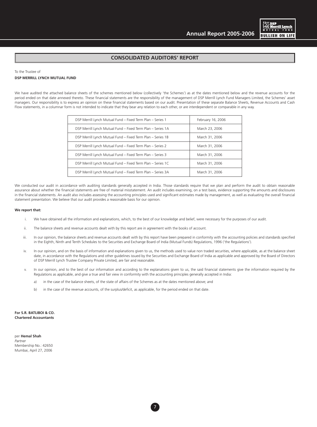

# **CONSOLIDATED AUDITORS' REPORT**

#### To the Trustee of

# **DSP MERRILL LYNCH MUTUAL FUND**

We have audited the attached balance sheets of the schemes mentioned below (collectively 'the Schemes') as at the dates mentioned below and the revenue accounts for the period ended on that date annexed thereto. These financial statements are the responsibility of the management of DSP Merrill Lynch Fund Managers Limited, the Schemes' asset managers. Our responsibility is to express an opinion on these financial statements based on our audit. Presentation of these separate Balance Sheets, Revenue Accounts and Cash Flow statements, in a columnar form is not intended to indicate that they bear any relation to each other, or are interdependent or comparable in any way.

| DSP Merrill Lynch Mutual Fund - Fixed Term Plan - Series 1  | February 16, 2006 |
|-------------------------------------------------------------|-------------------|
| DSP Merrill Lynch Mutual Fund - Fixed Term Plan - Series 1A | March 23, 2006    |
| DSP Merrill Lynch Mutual Fund - Fixed Term Plan - Series 1B | March 31, 2006    |
| DSP Merrill Lynch Mutual Fund - Fixed Term Plan - Series 2  | March 31, 2006    |
| DSP Merrill Lynch Mutual Fund - Fixed Term Plan - Series 3  | March 31, 2006    |
| DSP Merrill Lynch Mutual Fund - Fixed Term Plan - Series 1C | March 31, 2006    |
| DSP Merrill Lynch Mutual Fund - Fixed Term Plan - Series 3A | March 31, 2006    |

We conducted our audit in accordance with auditing standards generally accepted in India. Those standards require that we plan and perform the audit to obtain reasonable assurance about whether the financial statements are free of material misstatement. An audit includes examining, on a test basis, evidence supporting the amounts and disclosures in the financial statements. An audit also includes assessing the accounting principles used and significant estimates made by management, as well as evaluating the overall financial statement presentation. We believe that our audit provides a reasonable basis for our opinion.

#### **We report that:**

- i. We have obtained all the information and explanations, which, to the best of our knowledge and belief, were necessary for the purposes of our audit.
- ii. The balance sheets and revenue accounts dealt with by this report are in agreement with the books of account.
- iii. In our opinion, the balance sheets and revenue accounts dealt with by this report have been prepared in conformity with the accounting policies and standards specified in the Eighth, Ninth and Tenth Schedules to the Securities and Exchange Board of India (Mutual Funds) Regulations, 1996 ('the Regulations').
- iv. In our opinion, and on the basis of information and explanations given to us, the methods used to value non traded securities, where applicable, as at the balance sheet date, in accordance with the Regulations and other guidelines issued by the Securities and Exchange Board of India as applicable and approved by the Board of Directors of DSP Merrill Lynch Trustee Company Private Limited, are fair and reasonable.
- v. In our opinion, and to the best of our information and according to the explanations given to us, the said financial statements give the information required by the Regulations as applicable, and give a true and fair view in conformity with the accounting principles generally accepted in India:
	- a) in the case of the balance sheets, of the state of affairs of the Schemes as at the dates mentioned above; and
	- b) in the case of the revenue accounts, of the surplus/deficit, as applicable, for the period ended on that date.

**For S.R. BATLIBOI & CO. Chartered Accountants**

per **Hemal Shah** *Partner* Membership No.: 42650 Mumbai, April 27, 2006

7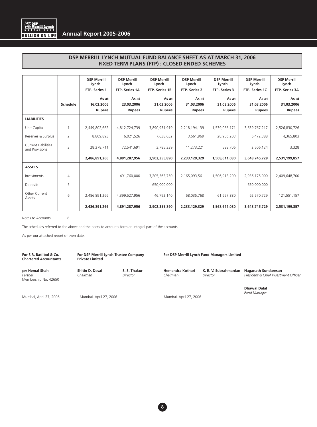

# **DSP MERRILL LYNCH MUTUAL FUND BALANCE SHEET AS AT MARCH 31, 2006 FIXED TERM PLANS (FTP) : CLOSED ENDED SCHEMES**

|                                              |                | <b>DSP Merrill</b><br>Lynch<br><b>FTP-Series 1</b> | <b>DSP Merrill</b><br>Lynch<br>FTP- Series 1A | <b>DSP Merrill</b><br>Lynch<br>FTP- Series 1B | <b>DSP Merrill</b><br>Lynch<br><b>FTP-Series 2</b> | <b>DSP Merrill</b><br>Lynch<br>FTP- Series 3 | <b>DSP Merrill</b><br>Lynch<br>FTP- Series 1C | <b>DSP Merrill</b><br>Lynch<br>FTP- Series 3A |
|----------------------------------------------|----------------|----------------------------------------------------|-----------------------------------------------|-----------------------------------------------|----------------------------------------------------|----------------------------------------------|-----------------------------------------------|-----------------------------------------------|
|                                              | Schedule       | As at<br>16.02.2006<br><b>Rupees</b>               | As at<br>23.03.2006<br><b>Rupees</b>          | As at<br>31.03.2006<br><b>Rupees</b>          | As at<br>31.03.2006<br><b>Rupees</b>               | As at<br>31.03.2006<br><b>Rupees</b>         | As at<br>31.03.2006<br><b>Rupees</b>          | As at<br>31.03.2006<br><b>Rupees</b>          |
| <b>LIABILITIES</b>                           |                |                                                    |                                               |                                               |                                                    |                                              |                                               |                                               |
| Unit Capital                                 |                | 2,449,802,662                                      | 4,812,724,739                                 | 3,890,931,919                                 | 2,218,194,139                                      | 1,539,066,171                                | 3,639,767,217                                 | 2,526,830,726                                 |
| Reserves & Surplus                           | $\overline{2}$ | 8,809,893                                          | 6,021,526                                     | 7,638,632                                     | 3,661,969                                          | 28,956,203                                   | 6,472,388                                     | 4,365,803                                     |
| <b>Current Liabilities</b><br>and Provisions | 3              | 28,278,711                                         | 72,541,691                                    | 3,785,339                                     | 11,273,221                                         | 588,706                                      | 2,506,124                                     | 3,328                                         |
|                                              |                | 2,486,891,266                                      | 4,891,287,956                                 | 3,902,355,890                                 | 2,233,129,329                                      | 1,568,611,080                                | 3,648,745,729                                 | 2,531,199,857                                 |
| <b>ASSETS</b>                                |                |                                                    |                                               |                                               |                                                    |                                              |                                               |                                               |
| Investments                                  | 4              |                                                    | 491,760,000                                   | 3,205,563,750                                 | 2,165,093,561                                      | 1,506,913,200                                | 2,936,175,000                                 | 2,409,648,700                                 |
| Deposits                                     | 5              |                                                    |                                               | 650,000,000                                   |                                                    |                                              | 650,000,000                                   |                                               |
| Other Current<br>Assets                      | 6              | 2,486,891,266                                      | 4,399,527,956                                 | 46,792,140                                    | 68,035,768                                         | 61,697,880                                   | 62,570,729                                    | 121,551,157                                   |
|                                              |                | 2,486,891,266                                      | 4,891,287,956                                 | 3,902,355,890                                 | 2,233,129,329                                      | 1,568,611,080                                | 3,648,745,729                                 | 2,531,199,857                                 |

Notes to Accounts 8

The schedules referred to the above and the notes to accounts form an integral part of the accounts.

As per our attached report of even date.

| For S.R. Batliboi & Co.<br><b>Chartered Accountants</b> | For DSP Merrill Lynch Trustee Company<br><b>Private Limited</b> |                          | For DSP Merrill Lynch Fund Managers Limited |                                   |                                                                    |
|---------------------------------------------------------|-----------------------------------------------------------------|--------------------------|---------------------------------------------|-----------------------------------|--------------------------------------------------------------------|
| per Hemal Shah<br>Partner<br>Membership No. 42650       | Shitin D. Desai<br>Chairman                                     | S. S. Thakur<br>Director | Hemendra Kothari<br>Chairman                | K. R. V. Subrahmanian<br>Director | <b>Naganath Sundaresan</b><br>President & Chief Investment Officer |
| Mumbai, April 27, 2006                                  | Mumbai, April 27, 2006                                          |                          | Mumbai, April 27, 2006                      |                                   | <b>Dhawal Dalal</b><br><b>Fund Manager</b>                         |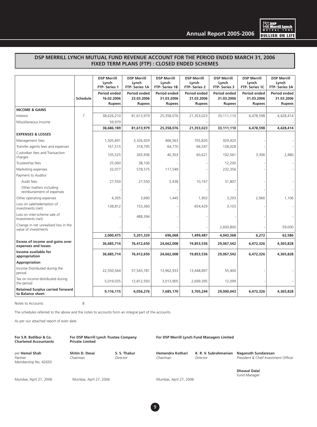

# **DSP MERRILL LYNCH MUTUAL FUND REVENUE ACCOUNT FOR THE PERIOD ENDED MARCH 31, 2006 FIXED TERM PLANS (FTP) : CLOSED ENDED SCHEMES**

|                                                              |                 | <b>DSP Merrill</b><br>Lynch<br>FTP- Series 1       | <b>DSP Merrill</b><br>Lynch<br>FTP- Series 1A | <b>DSP Merrill</b><br>Lynch<br>FTP- Series 1B | <b>DSP Merrill</b><br>Lynch<br>FTP- Series 2 | <b>DSP Merrill</b><br>Lynch<br>FTP- Series 3 | <b>DSP Merrill</b><br>Lynch<br>FTP- Series 1C      | <b>DSP Merrill</b><br>Lynch<br>FTP- Series 3A |
|--------------------------------------------------------------|-----------------|----------------------------------------------------|-----------------------------------------------|-----------------------------------------------|----------------------------------------------|----------------------------------------------|----------------------------------------------------|-----------------------------------------------|
|                                                              | <b>Schedule</b> | <b>Period ended</b><br>16.02.2006<br><b>Rupees</b> | Period ended<br>23.03.2006<br><b>Rupees</b>   | Period ended<br>31.03.2006<br><b>Rupees</b>   | Period ended<br>31.03.2006<br><b>Rupees</b>  | Period ended<br>31.03.2006<br><b>Rupees</b>  | <b>Period ended</b><br>31.03.2006<br><b>Rupees</b> | Period ended<br>31.03.2006<br><b>Rupees</b>   |
| <b>INCOME &amp; GAINS</b>                                    |                 |                                                    |                                               |                                               |                                              |                                              |                                                    |                                               |
| Interest                                                     | $\overline{7}$  | 38,626,210                                         | 81,613,979                                    | 25,358,076                                    | 21,353,023                                   | 33,111,110                                   | 6,478,598                                          | 4,428,414                                     |
| Miscellaneous Income                                         |                 | 59,979                                             |                                               |                                               |                                              |                                              |                                                    |                                               |
|                                                              |                 | 38,686,189                                         | 81,613,979                                    | 25,358,076                                    | 21,353,023                                   | 33,111,110                                   | 6,478,598                                          | 4,428,414                                     |
| <b>EXPENSES &amp; LOSSES</b>                                 |                 |                                                    |                                               |                                               |                                              |                                              |                                                    |                                               |
| Management fees                                              |                 | 1,505,691                                          | 3,326,929                                     | 466,563                                       | 705,820                                      | 929,420                                      |                                                    |                                               |
| Transfer agents fees and expenses                            |                 | 161,515                                            | 318,795                                       | 64,770                                        | 66,547                                       | 128,028                                      |                                                    |                                               |
| Custodian fees and Transaction<br>charges                    |                 | 105,525                                            | 265,936                                       | 40,303                                        | 60,621                                       | 102,561                                      | 3,306                                              | 2,480                                         |
| Trusteeship fees                                             |                 | 25,000                                             | 38,100                                        |                                               |                                              | 12,200                                       |                                                    |                                               |
| Marketing expenses                                           |                 | 32,077                                             | 578,575                                       | 117,549                                       |                                              | 232,356                                      |                                                    |                                               |
| Payment to Auditor                                           |                 |                                                    |                                               |                                               |                                              |                                              |                                                    |                                               |
| Audit fees                                                   |                 | 27,550                                             | 27,550                                        | 5,438                                         | 10,167                                       | 31,807                                       |                                                    |                                               |
| Other matters including<br>reimbursement of expenses         |                 |                                                    |                                               |                                               |                                              |                                              |                                                    |                                               |
| Other operating expenses                                     |                 | 4,305                                              | 3,690                                         | 1,445                                         | 1,903                                        | 3,293                                        | 2,966                                              | 1,106                                         |
| Loss on sale/redemption of<br>investments (net)              |                 | 138,812                                            | 153,360                                       |                                               | 654,429                                      | 3,103                                        |                                                    |                                               |
| Loss on inter-scheme sale of<br>Investments (net)            |                 |                                                    | 488,394                                       |                                               |                                              |                                              |                                                    |                                               |
| Change in net unrealised loss in the<br>value of investments |                 |                                                    |                                               |                                               |                                              | 2,600,800                                    |                                                    | 59,000                                        |
|                                                              |                 | 2,000,475                                          | 5,201,329                                     | 696.068                                       | 1,499,487                                    | 4,043,568                                    | 6.272                                              | 62,586                                        |
| Excess of income and gains over<br>expenses and losses       |                 | 36,685,714                                         | 76,412,650                                    | 24,662,008                                    | 19,853,536                                   | 29,067,542                                   | 6,472,326                                          | 4,365,828                                     |
| Income available for<br>appropriation                        |                 | 36,685,714                                         | 76,412,650                                    | 24,662,008                                    | 19,853,536                                   | 29,067,542                                   | 6,472,326                                          | 4,365,828                                     |
| Appropriation                                                |                 |                                                    |                                               |                                               |                                              |                                              |                                                    |                                               |
| Income Distributed during the<br>period                      |                 | 22,550,564                                         | 57,543,781                                    | 13,962,933                                    | 13,448,897                                   | 55,400                                       |                                                    |                                               |
| Tax on income distributed during<br>the period               |                 | 5,019,035                                          | 12,812,593                                    | 3,013,905                                     | 2,699,395                                    | 12,099                                       |                                                    |                                               |
| <b>Retained Surplus carried forward</b><br>to Balance sheet  |                 | 9,116,115                                          | 6,056,276                                     | 7,685,170                                     | 3,705,244                                    | 29,000,043                                   | 6,472,326                                          | 4,365,828                                     |

Notes to Accounts 8

The schedules referred to the above and the notes to accounts form an integral part of the accounts.

As per our attached report of even date.

| For S.R. Batliboi & Co.<br><b>Chartered Accountants</b>  | For DSP Merrill Lynch Trustee Company<br><b>Private Limited</b> |                          | For DSP Merrill Lynch Fund Managers Limited |                                   |                                                             |  |
|----------------------------------------------------------|-----------------------------------------------------------------|--------------------------|---------------------------------------------|-----------------------------------|-------------------------------------------------------------|--|
| per <b>Hemal Shah</b><br>Partner<br>Membership No. 42650 | <b>Shitin D. Desai</b><br>Chairman                              | S. S. Thakur<br>Director | Hemendra Kothari<br>Chairman                | K. R. V. Subrahmanian<br>Director | Naganath Sundaresan<br>President & Chief Investment Officer |  |
| Mumbai, April 27, 2006                                   | Mumbai, April 27, 2006                                          |                          | Mumbai, April 27, 2006                      |                                   | <b>Dhawal Dalal</b><br><b>Fund Manager</b>                  |  |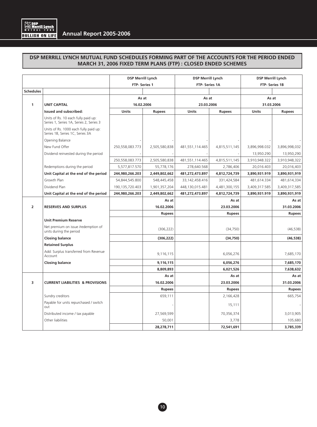

|                  |                                                                                | <b>DSP Merrill Lynch</b> |               | <b>DSP Merrill Lynch</b> |               | <b>DSP Merrill Lynch</b> |               |  |
|------------------|--------------------------------------------------------------------------------|--------------------------|---------------|--------------------------|---------------|--------------------------|---------------|--|
|                  |                                                                                | FTP- Series 1            |               | FTP- Series 1A           |               | FTP- Series 1B           |               |  |
| <b>Schedules</b> |                                                                                |                          |               |                          |               |                          |               |  |
|                  |                                                                                | As at                    |               | As at                    |               | As at                    |               |  |
| $\mathbf{1}$     | <b>UNIT CAPITAL</b>                                                            | 16.02.2006               |               | 23.03.2006               |               | 31.03.2006               |               |  |
|                  | Issued and subscribed:                                                         | <b>Units</b>             | <b>Rupees</b> | <b>Units</b>             | <b>Rupees</b> | <b>Units</b>             | <b>Rupees</b> |  |
|                  | Units of Rs. 10 each fully paid up:<br>Series 1, Series 1A, Series 2, Series 3 |                          |               |                          |               |                          |               |  |
|                  | Units of Rs. 1000 each fully paid up:<br>Series 1B, Series 1C, Series 3A       |                          |               |                          |               |                          |               |  |
|                  | Opening Balance                                                                |                          |               |                          |               |                          |               |  |
|                  | New Fund Offer                                                                 | 250,558,083.773          | 2,505,580,838 | 481,551,114.465          | 4,815,511,145 | 3,896,998.032            | 3,896,998,032 |  |
|                  | Dividend reinvested during the period                                          |                          |               |                          |               | 13,950.290               | 13,950,290    |  |
|                  |                                                                                | 250,558,083.773          | 2,505,580,838 | 481,551,114.465          | 4,815,511,145 | 3,910,948.322            | 3,910,948,322 |  |
|                  | Redemptions during the period                                                  | 5,577,817.570            | 55,778,176    | 278,640.568              | 2,786,406     | 20,016.403               | 20,016,403    |  |
|                  | Unit Capital at the end of the period                                          | 244,980,266.203          | 2,449,802,662 | 481,272,473.897          | 4,812,724,739 | 3,890,931.919            | 3,890,931,919 |  |
|                  | Growth Plan                                                                    | 54,844,545.800           | 548,445,458   | 33, 142, 458. 416        | 331,424,584   | 481,614.334              | 481,614,334   |  |
|                  | Dividend Plan                                                                  | 190,135,720.403          | 1,901,357,204 | 448,130,015.481          | 4,481,300,155 | 3,409,317.585            | 3,409,317,585 |  |
|                  | Unit Capital at the end of the period                                          | 244,980,266.203          | 2,449,802,662 | 481,272,473.897          | 4,812,724,739 | 3,890,931.919            | 3,890,931,919 |  |
|                  |                                                                                |                          | As at         |                          | As at         |                          | As at         |  |
| $\overline{2}$   | <b>RESERVES AND SURPLUS</b>                                                    |                          | 16.02.2006    |                          | 23.03.2006    |                          | 31.03.2006    |  |
|                  |                                                                                |                          | <b>Rupees</b> |                          | <b>Rupees</b> |                          | <b>Rupees</b> |  |
|                  | <b>Unit Premium Reserve</b>                                                    |                          |               |                          |               |                          |               |  |
|                  | Net premium on issue /redemption of<br>units during the period                 |                          | (306, 222)    |                          | (34, 750)     |                          | (46, 538)     |  |
|                  | <b>Closing balance</b>                                                         |                          | (306, 222)    |                          | (34,750)      |                          | (46, 538)     |  |
|                  | <b>Retained Surplus</b>                                                        |                          |               |                          |               |                          |               |  |
|                  | Add: Surplus transferred from Revenue<br>Account                               |                          | 9,116,115     |                          | 6,056,276     |                          | 7,685,170     |  |
|                  | <b>Closing balance</b>                                                         |                          | 9,116,115     |                          | 6,056,276     |                          | 7,685,170     |  |
|                  |                                                                                |                          | 8,809,893     |                          | 6,021,526     |                          | 7,638,632     |  |
|                  |                                                                                |                          | As at         |                          | As at         |                          | As at         |  |
| 3                | <b>CURRENT LIABILITIES &amp; PROVISIONS</b>                                    |                          | 16.02.2006    |                          | 23.03.2006    |                          | 31.03.2006    |  |
|                  |                                                                                |                          | <b>Rupees</b> |                          | <b>Rupees</b> |                          | <b>Rupees</b> |  |
|                  | Sundry creditors                                                               |                          | 659,111       |                          | 2,166,428     |                          | 665,754       |  |
|                  | Payable for units repurchased / switch<br>out                                  |                          |               |                          | 15,111        |                          |               |  |
|                  | Distributed income / tax payable                                               |                          | 27,569,599    |                          | 70,356,374    |                          | 3,013,905     |  |
|                  | Other liabilities                                                              |                          | 50,001        |                          | 3,778         |                          | 105,680       |  |
|                  |                                                                                |                          | 28,278,711    |                          | 72,541,691    |                          | 3,785,339     |  |

10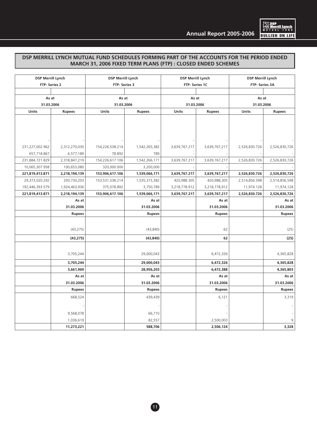

| <b>DSP Merrill Lynch</b> |               | <b>DSP Merrill Lynch</b> |               | <b>DSP Merrill Lynch</b> |               | <b>DSP Merrill Lynch</b> |                |
|--------------------------|---------------|--------------------------|---------------|--------------------------|---------------|--------------------------|----------------|
| FTP- Series 2            |               | FTP- Series 3            |               | FTP- Series 1C           |               | FTP- Series 3A           |                |
|                          |               |                          |               |                          |               |                          |                |
| As at                    |               | As at                    |               | As at                    |               | As at                    |                |
| 31.03.2006               |               | 31.03.2006               |               | 31.03.2006               |               | 31.03.2006               |                |
| Units                    | <b>Rupees</b> | Units                    | <b>Rupees</b> | Units                    | <b>Rupees</b> | Units                    | <b>Rupees</b>  |
|                          |               |                          |               |                          |               |                          |                |
|                          |               |                          |               |                          |               |                          |                |
|                          |               |                          |               |                          |               |                          |                |
|                          |               |                          |               |                          |               |                          |                |
| 231,227,002.962          | 2,312,270,030 | 154,226,538.214          | 1,542,265,382 | 3,639,767.217            | 3,639,767,217 | 2,526,830.726            | 2,526,830,726  |
| 657,718.867              | 6,577,189     | 78.892                   | 789           |                          |               |                          |                |
| 231,884,721.829          | 2,318,847,219 | 154,226,617.106          | 1,542,266,171 | 3,639,767.217            | 3,639,767,217 | 2,526,830.726            | 2,526,830,726  |
| 10,065,307.958           | 100,653,080   | 320,000.000              | 3,200,000     |                          |               |                          |                |
| 221,819,413.871          | 2,218,194,139 | 153,906,617.106          | 1,539,066,171 | 3,639,767.217            | 3,639,767,217 | 2,526,830.726            | 2,526,830,726  |
| 29,373,020.292           | 293,730,203   | 153,531,538.214          | 1,535,315,382 | 420,988.305              | 420,988,305   | 2,514,856.598            | 2,514,856,598  |
| 192,446,393.579          | 1,924,463,936 | 375,078.892              | 3,750,789     | 3,218,778.912            | 3,218,778,912 | 11,974.128               | 11,974,128     |
| 221,819,413.871          | 2,218,194,139 | 153,906,617.106          | 1,539,066,171 | 3,639,767.217            | 3,639,767,217 | 2,526,830.726            | 2,526,830,726  |
|                          | As at         |                          | As at         |                          | As at         |                          | As at          |
|                          | 31.03.2006    |                          | 31.03.2006    |                          | 31.03.2006    |                          | 31.03.2006     |
|                          | <b>Rupees</b> |                          | <b>Rupees</b> |                          | <b>Rupees</b> |                          | <b>Rupees</b>  |
|                          |               |                          |               |                          |               |                          |                |
|                          | (43, 275)     |                          | (43, 840)     |                          | 62            |                          | (25)           |
|                          | (43, 275)     |                          | (43, 840)     |                          | 62            |                          | (25)           |
|                          |               |                          |               |                          |               |                          |                |
|                          |               |                          |               |                          |               |                          |                |
|                          | 3,705,244     |                          | 29,000,043    |                          | 6,472,326     |                          | 4,365,828      |
|                          | 3,705,244     |                          | 29,000,043    |                          | 6,472,326     |                          | 4,365,828      |
|                          | 3,661,969     |                          | 28,956,203    |                          | 6,472,388     |                          | 4,365,803      |
|                          | As at         |                          | As at         |                          | As at         |                          | As at          |
|                          | 31.03.2006    |                          | 31.03.2006    |                          | 31.03.2006    |                          | 31.03.2006     |
|                          | <b>Rupees</b> |                          | <b>Rupees</b> |                          | <b>Rupees</b> |                          | <b>Rupees</b>  |
|                          | 668,524       |                          | 439,439       |                          | 6,121         |                          | 3,319          |
|                          |               |                          |               |                          |               |                          |                |
|                          | 9,568,078     |                          | 66,710        |                          |               |                          |                |
|                          | 1,036,619     |                          | 82,557        |                          | 2,500,003     |                          | 9 <sup>1</sup> |
|                          | 11,273,221    |                          | 588,706       |                          | 2,506,124     |                          | 3,328          |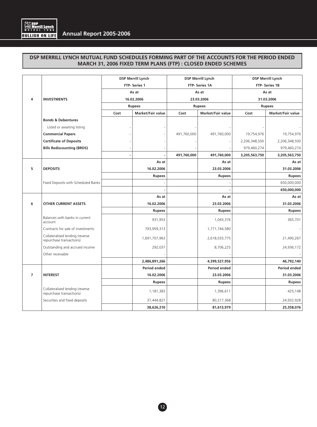

|                |                                                             |      | <b>DSP Merrill Lynch</b> | <b>DSP Merrill Lynch</b> |                          | <b>DSP Merrill Lynch</b> |                          |
|----------------|-------------------------------------------------------------|------|--------------------------|--------------------------|--------------------------|--------------------------|--------------------------|
|                |                                                             |      | FTP- Series 1            |                          | FTP- Series 1A           | FTP- Series 1B           |                          |
|                |                                                             |      | As at                    |                          | As at                    | As at<br>31.03.2006      |                          |
| 4              | <b>INVESTMENTS</b>                                          |      | 16.02.2006               |                          | 23.03.2006               |                          |                          |
|                |                                                             |      | <b>Rupees</b>            |                          | <b>Rupees</b>            |                          | <b>Rupees</b>            |
|                |                                                             | Cost | <b>Market/Fair value</b> | Cost                     | <b>Market/Fair value</b> | Cost                     | <b>Market/Fair value</b> |
|                | <b>Bonds &amp; Debentures</b>                               |      |                          |                          |                          |                          |                          |
|                | Listed or awaiting listing                                  |      |                          |                          |                          |                          |                          |
|                | <b>Commercial Papers</b>                                    |      |                          | 491,760,000              | 491,760,000              | 19,754,976               | 19,754,976               |
|                | <b>Certificate of Deposits</b>                              |      |                          |                          |                          | 2,206,348,500            | 2,206,348,500            |
|                | <b>Bills Rediscounting (BRDS)</b>                           |      |                          |                          |                          | 979,460,274              | 979,460,274              |
|                |                                                             |      |                          | 491,760,000              | 491,760,000              | 3,205,563,750            | 3,205,563,750            |
|                |                                                             |      | As at                    |                          | As at                    |                          | As at                    |
| 5              | <b>DEPOSITS</b>                                             |      | 16.02.2006               |                          | 23.03.2006               |                          | 31.03.2006               |
|                |                                                             |      | <b>Rupees</b>            |                          | <b>Rupees</b>            |                          | <b>Rupees</b>            |
|                | Fixed Deposits with Scheduled Banks                         |      |                          |                          |                          |                          | 650,000,000              |
|                |                                                             |      |                          |                          |                          |                          | 650,000,000              |
|                |                                                             |      | As at                    |                          | As at                    |                          | As at                    |
| 6              | <b>OTHER CURRENT ASSETS</b>                                 |      | 16.02.2006               |                          | 23.03.2006               |                          | 31.03.2006               |
|                |                                                             |      | <b>Rupees</b>            |                          | <b>Rupees</b>            |                          | <b>Rupees</b>            |
|                | Balances with banks in current<br>account                   |      | 931,953                  |                          | 1,043,376                |                          | 365,701                  |
|                | Contracts for sale of investments                           |      | 793,959,313              |                          | 1,771,744,580            |                          |                          |
|                | Collateralised lending (reverse<br>repurchase transactions) |      | 1,691,707,963            |                          | 2,618,033,775            |                          | 21,490,267               |
|                | Outstanding and accrued income                              |      | 292,037                  |                          | 8,706,225                |                          | 24,936,172               |
|                | Other receivable                                            |      |                          |                          |                          |                          |                          |
|                |                                                             |      | 2,486,891,266            |                          | 4,399,527,956            |                          | 46,792,140               |
|                |                                                             |      | <b>Period ended</b>      |                          | Period ended             |                          | Period ended             |
| $\overline{7}$ | <b>INTEREST</b>                                             |      | 16.02.2006               |                          | 23.03.2006               |                          | 31.03.2006               |
|                |                                                             |      | <b>Rupees</b>            |                          | <b>Rupees</b>            |                          | <b>Rupees</b>            |
|                | Collateralised lending (reverse<br>repurchase transactions) |      | 1,181,383                |                          | 1,396,611                |                          | 425,148                  |
|                | Securities and fixed deposits                               |      | 37,444,827               |                          | 80,217,368               |                          | 24,932,928               |
|                |                                                             |      | 38,626,210               |                          | 81,613,979               |                          | 25,358,076               |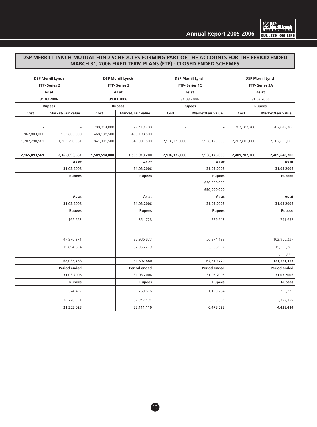

|               | <b>DSP Merrill Lynch</b> |               | <b>DSP Merrill Lynch</b> |               | <b>DSP Merrill Lynch</b> | <b>DSP Merrill Lynch</b> |                   |  |
|---------------|--------------------------|---------------|--------------------------|---------------|--------------------------|--------------------------|-------------------|--|
|               | FTP- Series 2            |               | FTP- Series 3            |               | FTP- Series 1C           |                          | FTP- Series 3A    |  |
|               | As at                    |               | As at                    |               | As at                    |                          | As at             |  |
|               | 31.03.2006               |               | 31.03.2006               |               | 31.03.2006               |                          | 31.03.2006        |  |
|               | <b>Rupees</b>            |               | <b>Rupees</b>            |               | <b>Rupees</b>            |                          | <b>Rupees</b>     |  |
| Cost          | <b>Market/Fair value</b> | Cost          | <b>Market/Fair value</b> | Cost          | Market/Fair value        | Cost                     | Market/Fair value |  |
|               |                          |               |                          |               |                          |                          |                   |  |
|               |                          | 200,014,000   | 197,413,200              |               |                          | 202,102,700              | 202,043,700       |  |
| 962,803,000   | 962,803,000              | 468,198,500   | 468,198,500              |               |                          |                          |                   |  |
| 1,202,290,561 | 1,202,290,561            | 841,301,500   | 841,301,500              | 2,936,175,000 | 2,936,175,000            | 2,207,605,000            | 2,207,605,000     |  |
|               |                          |               |                          |               |                          |                          |                   |  |
| 2,165,093,561 | 2,165,093,561            | 1,509,514,000 | 1,506,913,200            | 2,936,175,000 | 2,936,175,000            | 2,409,707,700            | 2,409,648,700     |  |
|               | As at                    |               | As at                    |               | As at                    |                          | As at             |  |
|               | 31.03.2006               |               | 31.03.2006               |               | 31.03.2006               |                          | 31.03.2006        |  |
|               | <b>Rupees</b>            |               | <b>Rupees</b>            |               | <b>Rupees</b>            |                          | <b>Rupees</b>     |  |
|               |                          |               |                          |               | 650,000,000              |                          |                   |  |
|               |                          |               |                          |               | 650,000,000              |                          |                   |  |
|               | As at                    |               | As at                    |               | As at                    |                          | As at             |  |
|               | 31.03.2006               |               | 31.03.2006               |               | 31.03.2006               |                          | 31.03.2006        |  |
|               | <b>Rupees</b>            |               | <b>Rupees</b>            |               | <b>Rupees</b>            |                          | <b>Rupees</b>     |  |
|               | 162,663                  |               | 354,728                  |               | 229,613                  |                          | 791,637           |  |
|               |                          |               |                          |               |                          |                          |                   |  |
|               |                          |               |                          |               |                          |                          |                   |  |
|               | 47,978,271               |               | 28,986,873               |               | 56,974,199               |                          | 102,956,237       |  |
|               | 19,894,834               |               | 32,356,279               |               | 5,366,917                |                          | 15,303,283        |  |
|               |                          |               |                          |               |                          |                          | 2,500,000         |  |
|               | 68,035,768               |               | 61,697,880               |               | 62,570,729               |                          | 121,551,157       |  |
|               | Period ended             |               | Period ended             |               | Period ended             |                          | Period ended      |  |
|               | 31.03.2006               |               | 31.03.2006               |               | 31.03.2006               |                          | 31.03.2006        |  |
|               | <b>Rupees</b>            |               | <b>Rupees</b>            |               | <b>Rupees</b>            |                          | Rupees            |  |
|               | 574,492                  |               | 763,676                  |               | 1,120,234                |                          | 706,275           |  |
|               | 20,778,531               |               | 32,347,434               |               | 5,358,364                |                          | 3,722,139         |  |
|               | 21,353,023               |               | 33,111,110               |               | 6,478,598                |                          | 4,428,414         |  |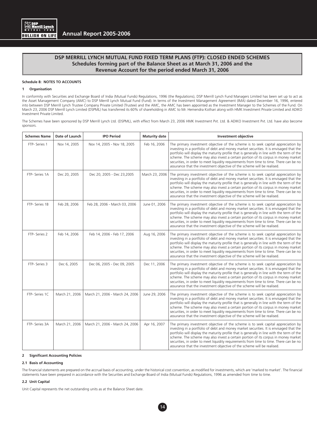

# **DSP MERRILL LYNCH MUTUAL FUND FIXED TERM PLANS (FTP): CLOSED ENDED SCHEMES Schedules forming part of the Balance Sheet as at March 31, 2006 and the Revenue Account for the period ended March 31, 2006**

# **Schedule 8: NOTES TO ACCOUNTS**

# **1 Organisation**

In conformity with Securities and Exchange Board of India (Mutual Funds) Regulations, 1996 (the Regulations), DSP Merrill Lynch Fund Managers Limited has been set up to act as the Asset Management Company (AMC) to DSP Merrill Lynch Mutual Fund (Fund). In terms of the Investment Management Agreement (IMA) dated December 16, 1996, entered into between DSP Merrill Lynch Trustee Company Private Limited (Trustee) and the AMC, the AMC has been appointed as the Investment Manager to the Schemes of the Fund. On March 23, 2006 DSP Merrill Lynch Limited (DSPML) has transferred its 60% of shareholding in AMC to Mr. Hemendra Kothari along with HMK Investment Private Limited and ADIKO Investment Private Limited.

The Schemes have been sponsored by DSP Merrill Lynch Ltd. (DSPML), with effect from March 23, 2006 HMK Investment Pvt. Ltd. & ADIKO Investment Pvt. Ltd. have also become sponsors.

| <b>Schemes Name</b> | Date of Launch | <b>IPO Period</b>               | <b>Maturity date</b> | <b>Investment objective</b>                                                                                                                                                                                                                                                                                                                                                                                                                                                                                                          |
|---------------------|----------------|---------------------------------|----------------------|--------------------------------------------------------------------------------------------------------------------------------------------------------------------------------------------------------------------------------------------------------------------------------------------------------------------------------------------------------------------------------------------------------------------------------------------------------------------------------------------------------------------------------------|
| FTP- Series 1       | Nov 14, 2005   | Nov 14, 2005 - Nov 18, 2005     | Feb 16, 2006         | The primary investment objective of the scheme is to seek capital appreciation by<br>investing in a portfolio of debt and money market securities. It is envisaged that the<br>portfolio will display the maturity profile that is generally in line with the term of the<br>scheme. The scheme may also invest a certain portion of its corpus in money market<br>securities, in order to meet liquidity requirements from time to time. There can be no<br>assurance that the investment objective of the scheme will be realised. |
| FTP- Series 1A      | Dec 20, 2005   | Dec 20, 2005 - Dec 23,2005      | March 23, 2006       | The primary investment objective of the scheme is to seek capital appreciation by<br>investing in a portfolio of debt and money market securities. It is envisaged that the<br>portfolio will display the maturity profile that is generally in line with the term of the<br>scheme. The scheme may also invest a certain portion of its corpus in money market<br>securities, in order to meet liquidity requirements from time to time. There can be no<br>assurance that the investment objective of the scheme will be realised. |
| FTP- Series 1B      | Feb 28, 2006   | Feb 28, 2006 - March 03, 2006   | June 01, 2006        | The primary investment objective of the scheme is to seek capital appreciation by<br>investing in a portfolio of debt and money market securities. It is envisaged that the<br>portfolio will display the maturity profile that is generally in line with the term of the<br>scheme. The scheme may also invest a certain portion of its corpus in money market<br>securities, in order to meet liquidity requirements from time to time. There can be no<br>assurance that the investment objective of the scheme will be realised. |
| FTP- Series 2       | Feb 14, 2006   | Feb 14, 2006 - Feb 17, 2006     | Aug 16, 2006         | The primary investment objective of the scheme is to seek capital appreciation by<br>investing in a portfolio of debt and money market securities. It is envisaged that the<br>portfolio will display the maturity profile that is generally in line with the term of the<br>scheme. The scheme may also invest a certain portion of its corpus in money market<br>securities, in order to meet liquidity requirements from time to time. There can be no<br>assurance that the investment objective of the scheme will be realised. |
| FTP- Series 3       | Dec 6, 2005    | Dec 06, 2005 - Dec 09, 2005     | Dec 11, 2006         | The primary investment objective of the scheme is to seek capital appreciation by<br>investing in a portfolio of debt and money market securities. It is envisaged that the<br>portfolio will display the maturity profile that is generally in line with the term of the<br>scheme. The scheme may also invest a certain portion of its corpus in money market<br>securities, in order to meet liquidity requirements from time to time. There can be no<br>assurance that the investment objective of the scheme will be realised. |
| FTP- Series 1C      | March 21, 2006 | March 21, 2006 - March 24, 2006 | June 29, 2006        | The primary investment objective of the scheme is to seek capital appreciation by<br>investing in a portfolio of debt and money market securities. It is envisaged that the<br>portfolio will display the maturity profile that is generally in line with the term of the<br>scheme. The scheme may also invest a certain portion of its corpus in money market<br>securities, in order to meet liquidity requirements from time to time. There can be no<br>assurance that the investment objective of the scheme will be realised. |
| FTP- Series 3A      | March 21, 2006 | March 21, 2006 - March 24, 2006 | Apr 16, 2007         | The primary investment objective of the scheme is to seek capital appreciation by<br>investing in a portfolio of debt and money market securities. It is envisaged that the<br>portfolio will display the maturity profile that is generally in line with the term of the<br>scheme. The scheme may also invest a certain portion of its corpus in money market<br>securities, in order to meet liquidity requirements from time to time. There can be no<br>assurance that the investment objective of the scheme will be realised. |

# **2** Significant Accounting Policies

# **2.1 Basis of Accounting**

The financial statements are prepared on the accrual basis of accounting, under the historical cost convention, as modified for investments, which are 'marked to market'. The financial statements have been prepared in accordance with the Securities and Exchange Board of India (Mutual Funds) Regulations, 1996 as amended from time to time.

14

# **2.2 Unit Capital**

Unit Capital represents the net outstanding units as at the Balance Sheet date.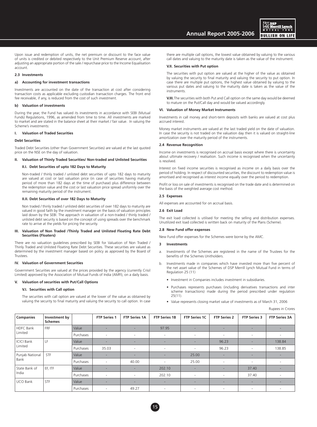

Upon issue and redemption of units, the net premium or discount to the face value of units is credited or debited respectively to the Unit Premium Reserve account, after adjusting an appropriate portion of the sale / repurchase price to the Income Equalisation account.

### **2.3 Investments**

#### **a) Accounting for investment transactions**

Investments are accounted on the date of the transaction at cost after considering transaction costs as applicable excluding custodian transaction charges. The front end fee receivable, if any, is reduced from the cost of such investment.

# **b) Valuation of investments**

During the year, the Fund has valued its investments in accordance with SEBI (Mutual Funds) Regulations, 1996, as amended from time to time. All investments are marked to market and are stated in the balance sheet at their market / fair value. In valuing the Scheme's investments:

#### **I. Valuation of Traded Securities**

#### **Debt Securities**

Traded Debt Securities (other than Government Securities) are valued at the last quoted price on the NSE on the day of valuation.

# **II. Valuation of Thinly Traded Securities/ Non-traded and Unlisted Securities**

# **II.I. Debt Securities of upto 182 Days to Maturity**

 Non-traded / thinly traded / unlisted debt securities of upto 182 days to maturity are valued at cost or last valuation price (in case of securities having maturity period of more than 182 days at the time of purchase) plus difference between the redemption value and the cost or last valuation price spread uniformly over the remaining maturity period of the instrument.

# **II.II. Debt Securities of over 182 Days to Maturity**

 Non traded / thinly traded / unlisted debt securities of over 182 days to maturity are valued in good faith by the investment manager on the basis of valuation principles laid down by the SEBI. The approach in valuation of a non-traded / thinly traded / unlisted debt security is based on the concept of using spreads over the benchmark rate to arrive at the yields for pricing the security.

# **III. Valuation of Non Traded /Thinly Traded and Unlisted Floating Rate Debt Securities (Floaters)**

There are no valuation guidelines prescribed by SEBI for Valuation of Non Traded / Thinly Traded and Unlisted Floating Rate Debt Securities. These securities are valued as determined by the investment manager based on policy as approved by the Board of **Trustees** 

#### **IV. Valuation of Government Securities**

Government Securities are valued at the prices provided by the agency (currently Crisil Limited) approved by the Association of Mutual Funds of India (AMFI), on a daily basis.

# **V. Valuation of securities with Put/Call Options**

# **V.I. Securities with Call option**

 The securities with call option are valued at the lower of the value as obtained by valuing the security to final maturity and valuing the security to call option. In case

there are multiple call options, the lowest value obtained by valuing to the various call dates and valuing to the maturity date is taken as the value of the instrument.

#### **V.II. Securities with Put option**

 The securities with put option are valued at the higher of the value as obtained by valuing the security to final maturity and valuing the security to put option. In case there are multiple put options, the highest value obtained by valuing to the various put dates and valuing to the maturity date is taken as the value of the instruments.

**V.III.** The securities with both Put and Call option on the same day would be deemed to mature on the Put/Call day and would be valued accordingly.

#### **VI. Valuation of Money Market Instruments**

Investments in call money and short-term deposits with banks are valued at cost plus accrued interest.

Money market instruments are valued at the last traded yield on the date of valuation. In case the security is not traded on the valuation day then it is valued on straight-line amortization over the maturity period of the instruments.

#### **2.4 Revenue Recognition**

Income on investments is recognised on accrual basis except where there is uncertainty about ultimate recovery / realisation. Such income is recognised when the uncertainty is resolved.

Interest on fixed income securities is recognised as income on a daily basis over the period of holding. In respect of discounted securities, the discount to redemption value is amortised and recognised as interest income equally over the period to redemption.

Profit or loss on sale of investments is recognised on the trade date and is determined on the basis of the weighted average cost method.

# **2.5 Expenses**

All expenses are accounted for on accrual basis.

# **2.6 Exit Load**

The exit load collected is utilised for meeting the selling and distribution expenses. Unutilized exit load collected is written back on maturity of the Plans (Scheme).

# **2.8 New Fund offer expenses**

New Fund offer expenses for the Schemes were borne by the AMC.

#### **3 Investments**

- Investments of the Schemes are registered in the name of the Trustees for the benefits of the Schemes Unitholders.
- b. Investments made in companies which have invested more than five percent of the net asset value of the Schemes of DSP Merrill Lynch Mutual Fund in terms of Regulation 25 (11)
	- Investment in Companies includes investment in subsidiaries.
	- Purchases represents purchases (including derivatives transactions and inter scheme transactions) made during the period prescribed under regulation 25(11).
	- Value represents closing market value of investments as of March 31, 2006

Rupees in Crores

| Companies               | Investment by<br><b>Schemes</b> |                          | <b>FTP Series 1</b>      | <b>FTP Series 1A</b>     | <b>FTP Series 1B</b>     | <b>FTP Series 1C</b>     | <b>FTP Series 2</b>      | <b>FTP Series 3</b> | <b>FTP Series 3A</b>     |
|-------------------------|---------------------------------|--------------------------|--------------------------|--------------------------|--------------------------|--------------------------|--------------------------|---------------------|--------------------------|
| HDFC Bank<br>FRF        |                                 | Value                    |                          | -                        | 97.95                    |                          |                          |                     | -                        |
| Limited                 |                                 | Purchases                | ۰                        | $\overline{\phantom{a}}$ | ٠                        | $\overline{\phantom{a}}$ | $\overline{\phantom{a}}$ | $\sim$              |                          |
| LF<br><b>ICICI Bank</b> | Value                           | $\overline{\phantom{a}}$ |                          |                          | $\overline{\phantom{a}}$ | 96.23                    |                          | 138.84              |                          |
| Limited                 |                                 | Purchases                | 35.03                    | $\sim$                   | $\sim$                   | $\sim$                   | 96.23                    | $\sim$              | 138.85                   |
| Punjab National         | <b>STF</b>                      | Value                    | $\overline{\phantom{a}}$ |                          |                          | 25.00                    |                          | -                   |                          |
| Bank                    |                                 | Purchases                | $\sim$                   | 40.00                    | $\blacksquare$           | 25.00                    | ۰                        | $\sim$              | $\overline{\phantom{a}}$ |
| State Bank of           | EF, ITF                         | <b>Value</b>             |                          | -                        | 202.10                   | $\overline{\phantom{a}}$ |                          | 37.40               |                          |
| India                   |                                 | Purchases                | ۰                        | $\overline{\phantom{a}}$ | 202.10                   | $\overline{\phantom{a}}$ | $\overline{\phantom{a}}$ | 37.40               |                          |
| <b>UCO Bank</b>         | STF                             | <b>Value</b>             |                          |                          | -                        |                          |                          |                     |                          |
|                         |                                 | Purchases                | $\sim$                   | 49.27                    | $\overline{\phantom{a}}$ | $\overline{\phantom{a}}$ | $\overline{\phantom{a}}$ | $\sim$              |                          |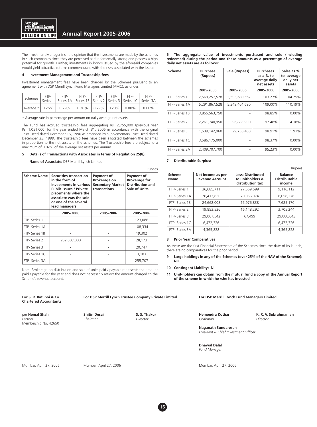

The Investment Manager is of the opinion that the investments are made by the schemes in such companies since they are perceived as fundamentally strong and possess a high potential for growth. Further, investments in bonds issued by the aforesaid companies would yield attractive returns commensurate with the risks associated with the issuer.

# **4 Investment Management and Trusteeship fees**

Investment management fees have been charged by the Schemes pursuant to an agreement with DSP Merrill Lynch Fund Managers Limited (AMC), as under:

| Schemes                                                           | FTP- | FTP- | FTP- | FTP-   FTP- | FTP- | FTP-<br>Series 1   Series 1A   Series 1B   Series 2   Series 3   Series 1C   Series 3A |
|-------------------------------------------------------------------|------|------|------|-------------|------|----------------------------------------------------------------------------------------|
| Average *   0.25%   0.29%   0.20%   0.29%   0.20%   0.00%   0.00% |      |      |      |             |      |                                                                                        |

\* Average rate in percentage per annum on daily average net assets

The Fund has accrued trusteeship fees aggregating Rs. 2,755,000 (previous year Rs. 1,051,000) for the year ended March 31, 2006 in accordance with the original Trust Deed dated December 16, 1996 as amended by supplementary Trust Deed dated December 23, 1999. The trusteeship fees have been allocated between the schemes in proportion to the net assets of the schemes. The Trusteeship fees are subject to a maximum of 0.02% of the average net assets per annum.

# **5 Details of Transactions with Associates in terms of Regulation 25(8):**

 **Name of Associate:** DSP Merrill Lynch Limited

|                    |                                                                                                                                                                                                         |                                                                       | Rupees                                                                                |
|--------------------|---------------------------------------------------------------------------------------------------------------------------------------------------------------------------------------------------------|-----------------------------------------------------------------------|---------------------------------------------------------------------------------------|
| <b>Scheme Name</b> | <b>Securities transaction</b><br>in the form of<br>investments in various<br><b>Public issues / Private</b><br>placements where the<br>associate was the sole<br>or one of the several<br>lead managers | Payment of<br>Brokerage on<br><b>Secondary Market</b><br>transactions | Payment of<br><b>Brokerage for</b><br><b>Distribution and</b><br><b>Sale of Units</b> |
|                    | 2005-2006                                                                                                                                                                                               | 2005-2006                                                             | 2005-2006                                                                             |
| FTP- Series 1      |                                                                                                                                                                                                         |                                                                       | 123,086                                                                               |
| FTP- Series 1A     |                                                                                                                                                                                                         |                                                                       | 108,334                                                                               |
| FTP- Series 1B     |                                                                                                                                                                                                         |                                                                       | 19,302                                                                                |
| FTP- Series 2      | 962,803,000                                                                                                                                                                                             |                                                                       | 28,173                                                                                |
| FTP- Series 3      |                                                                                                                                                                                                         |                                                                       | 20,747                                                                                |
| FTP- Series 1C     |                                                                                                                                                                                                         |                                                                       | 3,103                                                                                 |
| FTP- Series 3A     |                                                                                                                                                                                                         |                                                                       | 255,707                                                                               |

Note: Brokerage on distribution and sale of units paid / payable represents the amount paid / payable for the year and does not necessarily reflect the amount charged to the Scheme's revenue account.

**Chartered Accountants** 

**For S. R. Batliboi & Co. For DSP Merrill Lynch Trustee Company Private Limited For DSP Merrill Lynch Fund Managers Limited**

per **Hemal Shah Shitin Desai Shitin Shah Shitin Shah Shitin Shah Shitin Shah Shitin Shah Shitin Shah Shitin Sh<br>Partner Shah Shah Shah Director Director Chairman Director Shahrman Chairman Director** *Partner Chairman Director Chairman Director* Membership No. 42650

16

**6 The aggregate value of investments purchased and sold (including redeemed) during the period and these amounts as a percentage of average daily net assets are as follows:** 

| Scheme         | Purchase<br>(Rupees) | Sale (Rupees) | <b>Purchases</b><br>as a % to<br>average daily<br>net assets | Sales as %<br>to average<br>daily net<br>assets |
|----------------|----------------------|---------------|--------------------------------------------------------------|-------------------------------------------------|
|                | 2005-2006            | 2005-2006     | 2005-2006                                                    | 2005-2006                                       |
| FTP- Series 1  | 2,569,257,528        | 2,593,680,562 | 103.27%                                                      | 104.25%                                         |
| FTP- Series 1A | 5,291,867,528        | 5,349,464,690 | 109.00%                                                      | 110.19%                                         |
| FTP- Series 1B | 3,855,563,750        |               | 98.85%                                                       | $0.00\%$                                        |
| FTP- Series 2  | 2,261,740,950        | 96,883,900    | 97.48%                                                       | 4.18%                                           |
| FTP- Series 3  | 1,539,142,960        | 29,738,488    | 98.91%                                                       | 1.91%                                           |
| FTP- Series 1C | 3,586,175,000        |               | 98.37%                                                       | $0.00\%$                                        |
| FTP- Series 3A | 2,409,707,700        |               | 95.23%                                                       | $0.00\%$                                        |

# **7 Distributable Surplus:**

|                |                                             |                                                                  | Rupees                                           |
|----------------|---------------------------------------------|------------------------------------------------------------------|--------------------------------------------------|
| Scheme<br>Name | Net Income as per<br><b>Revenue Account</b> | <b>Less: Distributed</b><br>to unitholders &<br>distribution tax | <b>Balance</b><br><b>Distributable</b><br>income |
| FTP- Series 1  | 36.685.711                                  | 27.569.599                                                       | 9,116,112                                        |
| FTP- Series 1A | 76.412.650                                  | 70.356.374                                                       | 6,056,276                                        |
| FTP- Series 1B | 24.662.008                                  | 16,976,838                                                       | 7,685,170                                        |
| FTP- Series 2  | 19,853,536                                  | 16,148,292                                                       | 3,705,244                                        |
| FTP- Series 3  | 29,067,542                                  | 67,499                                                           | 29,000,043                                       |
| FTP- Series 1C | 6.472.326                                   |                                                                  | 6,472,326                                        |
| FTP- Series 3A | 4,365,828                                   | ۰                                                                | 4,365,828                                        |

# **8 Prior Year Comparatives**

As these are the first Financial Statements of the Schemes since the date of its launch, there are no comparatives for the prior period.

- **9 Large holdings in any of the Schemes (over 25% of the NAV of the Scheme): NIL**
- **10 Contingent Liability: Nil**
- **11 Unit-holders can obtain from the mutual fund a copy of the Annual Report of the scheme in which he /she has invested**

 **Naganath Sundaresan President & Chief Investment Officer** 

 **Dhawal Dalal**  *Fund Manager*

Mumbai, April 27, 2006 Mumbai, April 27, 2006 Mumbai, April 27, 2006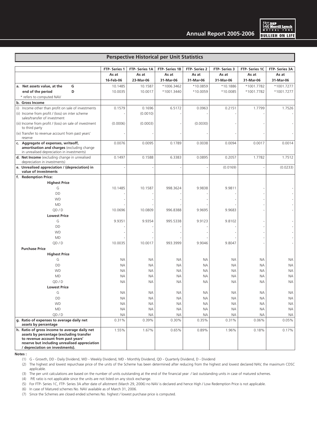

# **Perspective Historical per Unit Statistics**

|                                                                                                                                                                                                                      | FTP-Series 1 | FTP- Series 1A | FTP- Series 1B | FTP- Series 2 | FTP-Series 3 | FTP- Series 1C | FTP- Series 3A |
|----------------------------------------------------------------------------------------------------------------------------------------------------------------------------------------------------------------------|--------------|----------------|----------------|---------------|--------------|----------------|----------------|
|                                                                                                                                                                                                                      | As at        | As at          | As at          | As at         | As at        | As at          | As at          |
|                                                                                                                                                                                                                      | 16-Feb-06    | 23-Mar-06      | 31-Mar-06      | 31-Mar-06     | 31-Mar-06    | 31-Mar-06      | 31-Mar-06      |
| G<br>a. Net assets value, at the                                                                                                                                                                                     | 10.1485      | 10.1587        | *1006.3462     | *10.0859      | *10.1886     | *1001.7782     | *1001.7277     |
| D<br>end of the period                                                                                                                                                                                               | 10.0035      | 10.0017        | *1001.3440     | *10.0059      | *10.0085     | *1001.7782     | *1001.7277     |
| * refers to computed NAV                                                                                                                                                                                             |              |                |                |               |              |                |                |
| b. Gross Income                                                                                                                                                                                                      |              |                |                |               |              |                |                |
| (i) Income other than profit on sale of investments                                                                                                                                                                  | 0.1579       | 0.1696         | 6.5172         | 0.0963        | 0.2151       | 1.7799         | 1.7526         |
| (ii) Income from profit / (loss) on inter scheme<br>sales/transfer of investment                                                                                                                                     |              | (0.0010)       |                |               |              |                |                |
| (iii) Income from profit / (loss) on sale of investment<br>to third party                                                                                                                                            | (0.0006)     | (0.0003)       |                | (0.0030)      |              |                |                |
| (iv) Transfer to revenue account from past years'<br>reserve                                                                                                                                                         |              |                |                |               |              |                |                |
| c. Aggregate of expenses, writeoff,<br>amortisation and charges (excluding change<br>in unrealised depreciation in investments)                                                                                      | 0.0076       | 0.0095         | 0.1789         | 0.0038        | 0.0094       | 0.0017         | 0.0014         |
| d. Net Income (excluding change in unrealised<br>depreciation in investments)                                                                                                                                        | 0.1497       | 0.1588         | 6.3383         | 0.0895        | 0.2057       | 1.7782         | 1.7512         |
| e. Unrealised appreciation / (depreciation) in<br>value of investments                                                                                                                                               |              |                |                |               | (0.0169)     |                | (0.0233)       |
| f. Redemption Price:                                                                                                                                                                                                 |              |                |                |               |              |                |                |
| <b>Highest Price</b>                                                                                                                                                                                                 |              |                |                |               |              |                |                |
| G                                                                                                                                                                                                                    | 10.1485      | 10.1587        | 998.3624       | 9.9838        | 9.9811       |                |                |
| <b>DD</b>                                                                                                                                                                                                            |              |                |                |               |              |                |                |
| <b>WD</b>                                                                                                                                                                                                            |              |                |                |               |              |                |                |
| <b>MD</b>                                                                                                                                                                                                            |              |                |                |               |              |                |                |
| QD/D                                                                                                                                                                                                                 | 10.0696      | 10.0809        | 996.8388       | 9.9695        | 9.9683       |                |                |
| <b>Lowest Price</b>                                                                                                                                                                                                  |              |                |                |               |              |                |                |
| G                                                                                                                                                                                                                    | 9.9351       | 9.9354         | 995.5338       | 9.9123        | 9.8102       |                |                |
| <b>DD</b>                                                                                                                                                                                                            |              |                |                |               |              |                |                |
| <b>WD</b>                                                                                                                                                                                                            |              |                |                |               |              |                |                |
| <b>MD</b>                                                                                                                                                                                                            |              |                |                |               |              |                |                |
| QD/D                                                                                                                                                                                                                 | 10.0035      | 10.0017        | 993.3999       | 9.9046        | 9.8047       |                |                |
| <b>Purchase Price</b>                                                                                                                                                                                                |              |                |                |               |              |                |                |
| <b>Highest Price</b>                                                                                                                                                                                                 |              |                |                |               |              |                |                |
| G                                                                                                                                                                                                                    | <b>NA</b>    | <b>NA</b>      | <b>NA</b>      | <b>NA</b>     | ΝA           | NА             | <b>NA</b>      |
| DD                                                                                                                                                                                                                   | <b>NA</b>    | <b>NA</b>      | <b>NA</b>      | <b>NA</b>     | NА           | NА             | <b>NA</b>      |
| <b>WD</b>                                                                                                                                                                                                            | <b>NA</b>    | <b>NA</b>      | <b>NA</b>      | <b>NA</b>     | ΝA           | NА             | <b>NA</b>      |
| <b>MD</b>                                                                                                                                                                                                            | <b>NA</b>    | <b>NA</b>      | <b>NA</b>      | NА            | NА           | NА             | <b>NA</b>      |
| QD/D                                                                                                                                                                                                                 | <b>NA</b>    | NА             | NА             | <b>NA</b>     | NА           | NА             | <b>NA</b>      |
| <b>Lowest Price</b>                                                                                                                                                                                                  |              |                |                |               |              |                |                |
| G                                                                                                                                                                                                                    | <b>NA</b>    | <b>NA</b>      | <b>NA</b>      | <b>NA</b>     | <b>NA</b>    | <b>NA</b>      | <b>NA</b>      |
| DD                                                                                                                                                                                                                   | NА           | NА             | NА             | NА            | NА           | NА             | ΝA             |
| WD                                                                                                                                                                                                                   | <b>NA</b>    | ΝA             | <b>NA</b>      | <b>NA</b>     | ΝA           | <b>NA</b>      | <b>NA</b>      |
| MD                                                                                                                                                                                                                   | <b>NA</b>    | ΝA             | <b>NA</b>      | <b>NA</b>     | NА           | <b>ΝΑ</b>      | <b>NA</b>      |
| QD/D                                                                                                                                                                                                                 | <b>NA</b>    | <b>NA</b>      | ΝA             | <b>NA</b>     | NА           | <b>ΝΑ</b>      | <b>NA</b>      |
| g. Ratio of expenses to average daily net<br>assets by percentage                                                                                                                                                    | 0.31%        | 0.39%          | 0.30%          | 0.35%         | 0.31%        | 0.06%          | 0.05%          |
| h. Ratio of gross income to average daily net<br>assets by percentage (excluding transfer<br>to revenue account from past years'<br>reserve but including unrealised appreciation<br>/ depreciation on investments). | 1.55%        | 1.67%          | 0.65%          | 0.89%         | 1.96%        | 0.18%          | 0.17%          |

**Notes :**

(1) G - Growth, DD - Daily Dividend, WD - Weekly Dividend, MD - Monthly Dividend, QD - Quarterly Dividend, D - Dividend

 (2) The highest and lowest repurchase price of the units of the Scheme has been determined after reducing from the highest and lowest declared NAV, the maximum CDSC applicable.

(3) The per unit calculations are based on the number of units outstanding at the end of the financial year / last outstanding units in case of matured schemes.

(4) P/E ratio is not applicable since the units are not listed on any stock exchange.

(5) For FTP- Series 1C, FTP- Series 3A after date of allotment (March 29, 2006) no NAV is declared and hence High / Low Redemption Price is not applicable.

(6) In case of Matured schemes No. NAV available as of March 31, 2006.

(7) Since the Schemes are closed ended schemes No. highest / lowest purchase price is computed.